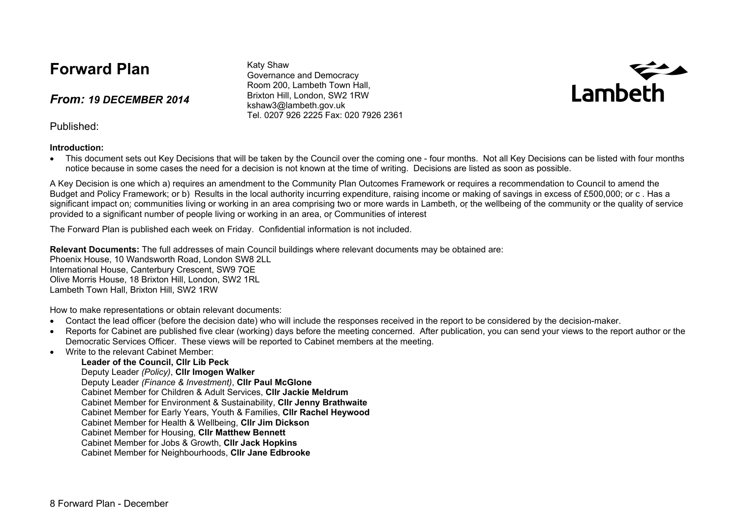# **Forward Plan**

*From: 19 DECEMBER 2014*

Katy Shaw Governance and Democracy Room 200, Lambeth Town Hall, Brixton Hill, London, SW2 1RW kshaw3@lambeth.gov.uk Tel. 0207 926 2225 Fax: 020 7926 2361



Published:

#### **Introduction:**

• This document sets out Key Decisions that will be taken by the Council over the coming one - four months. Not all Key Decisions can be listed with four months notice because in some cases the need for a decision is not known at the time of writing. Decisions are listed as soon as possible.

A Key Decision is one which a) requires an amendment to the Community Plan Outcomes Framework or requires a recommendation to Council to amend the Budget and Policy Framework; or b) Results in the local authority incurring expenditure, raising income or making of savings in excess of £500,000; or c. Has a significant impact on: communities living or working in an area comprising two or more wards in Lambeth, or the wellbeing of the community or the quality of service provided to a significant number of people living or working in an area, or Communities of interest

The Forward Plan is published each week on Friday. Confidential information is not included.

**Relevant Documents:** The full addresses of main Council buildings where relevant documents may be obtained are: Phoenix House, 10 Wandsworth Road, London SW8 2LL International House, Canterbury Crescent, SW9 7QE Olive Morris House, 18 Brixton Hill, London, SW2 1RL Lambeth Town Hall, Brixton Hill, SW2 1RW

How to make representations or obtain relevant documents:

- Contact the lead officer (before the decision date) who will include the responses received in the report to be considered by the decision-maker.
- Reports for Cabinet are published five clear (working) days before the meeting concerned. After publication, you can send your views to the report author or the Democratic Services Officer. These views will be reported to Cabinet members at the meeting.
- . Write to the relevant Cabinet Member:

**Leader of the Council, Cllr Lib Peck** Deputy Leader *(Policy)*, **Cllr Imogen Walker** Deputy Leader *(Finance & Investment)*, **Cllr Paul McGlone** Cabinet Member for Children & Adult Services, **Cllr Jackie Meldrum** Cabinet Member for Environment & Sustainability, **Cllr Jenny Brathwaite** Cabinet Member for Early Years, Youth & Families, **Cllr Rachel Heywood** Cabinet Member for Health & Wellbeing, **Cllr Jim Dickson** Cabinet Member for Housing, **Cllr Matthew Bennett** Cabinet Member for Jobs & Growth, **Cllr Jack Hopkins** Cabinet Member for Neighbourhoods, **Cllr Jane Edbrooke**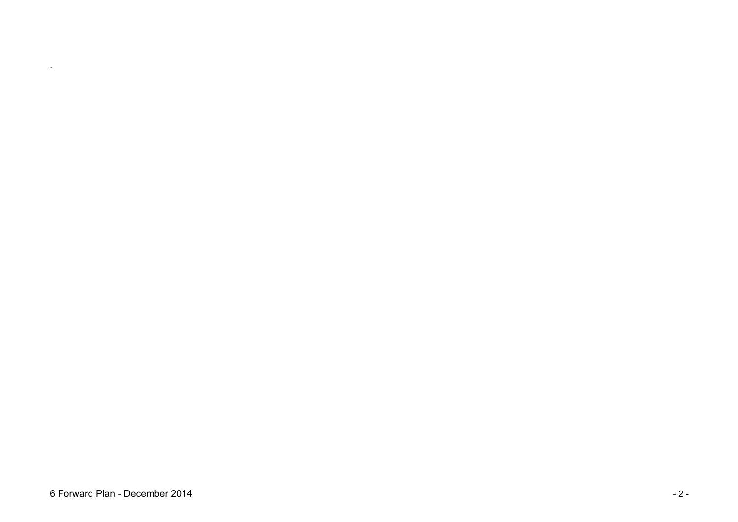6 Forward Plan - December 2014 - 2 -

.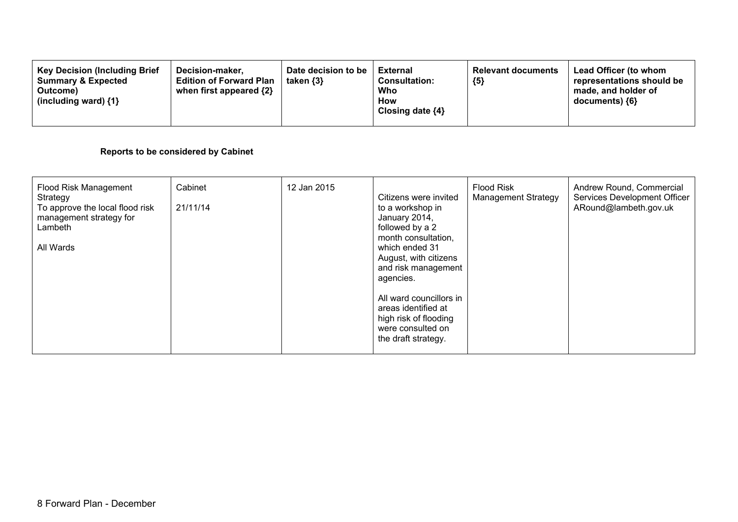| <b>Key Decision (Including Brief</b><br>Decision-maker,<br><b>Summary &amp; Expected</b><br><b>Edition of Forward Plan</b><br>when first appeared $\{2\}$<br>Outcome)<br>(including ward) $\{1\}$ | Date decision to be<br>taken $\{3\}$ | External<br><b>Consultation:</b><br>Who<br>How<br>Closing date $\{4\}$ | <b>Relevant documents</b><br>${5}$ | <b>Lead Officer (to whom</b><br>representations should be<br>made, and holder of<br>documents) ${6}$ |
|---------------------------------------------------------------------------------------------------------------------------------------------------------------------------------------------------|--------------------------------------|------------------------------------------------------------------------|------------------------------------|------------------------------------------------------------------------------------------------------|
|---------------------------------------------------------------------------------------------------------------------------------------------------------------------------------------------------|--------------------------------------|------------------------------------------------------------------------|------------------------------------|------------------------------------------------------------------------------------------------------|

# **Reports to be considered by Cabinet**

| <b>Flood Risk Management</b><br>Strategy<br>To approve the local flood risk<br>management strategy for<br>Lambeth<br>All Wards | Cabinet<br>21/11/14 | 12 Jan 2015 | Citizens were invited<br>to a workshop in<br>January 2014,<br>followed by a 2<br>month consultation,<br>which ended 31<br>August, with citizens<br>and risk management<br>agencies.<br>All ward councillors in<br>areas identified at<br>high risk of flooding<br>were consulted on<br>the draft strategy. | <b>Flood Risk</b><br><b>Management Strategy</b> | Andrew Round, Commercial<br>Services Development Officer<br>ARound@lambeth.gov.uk |
|--------------------------------------------------------------------------------------------------------------------------------|---------------------|-------------|------------------------------------------------------------------------------------------------------------------------------------------------------------------------------------------------------------------------------------------------------------------------------------------------------------|-------------------------------------------------|-----------------------------------------------------------------------------------|
|--------------------------------------------------------------------------------------------------------------------------------|---------------------|-------------|------------------------------------------------------------------------------------------------------------------------------------------------------------------------------------------------------------------------------------------------------------------------------------------------------------|-------------------------------------------------|-----------------------------------------------------------------------------------|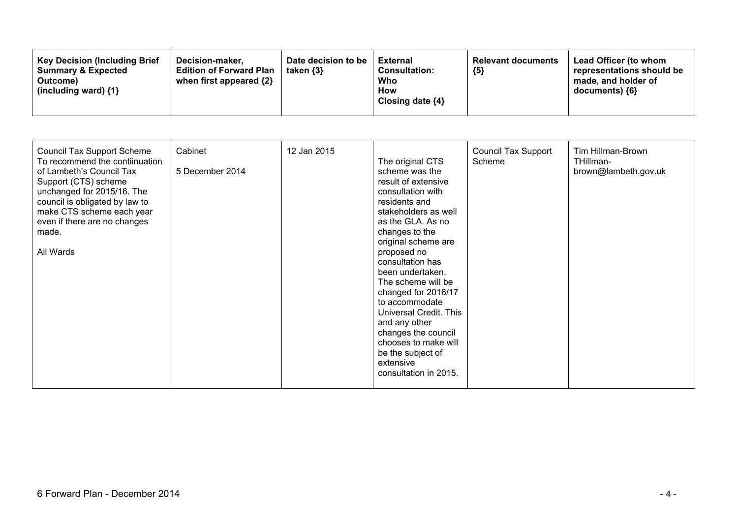| <b>Key Decision (Including Brief</b><br><b>Summary &amp; Expected</b><br>Outcome)<br>(including ward) $\{1\}$ | Date decision to be<br>Decision-maker.<br>taken $\{3\}$<br><b>Edition of Forward Plan</b><br>when first appeared {2} | External<br><b>Consultation:</b><br>Who<br><b>How</b><br>Closing date $\{4\}$ | <b>Relevant documents</b><br>${5}$ | <b>Lead Officer (to whom</b><br>representations should be<br>made, and holder of<br>documents) {6} |
|---------------------------------------------------------------------------------------------------------------|----------------------------------------------------------------------------------------------------------------------|-------------------------------------------------------------------------------|------------------------------------|----------------------------------------------------------------------------------------------------|
|---------------------------------------------------------------------------------------------------------------|----------------------------------------------------------------------------------------------------------------------|-------------------------------------------------------------------------------|------------------------------------|----------------------------------------------------------------------------------------------------|

| <b>Council Tax Support Scheme</b><br>To recommend the contiinuation<br>of Lambeth's Council Tax<br>Support (CTS) scheme<br>unchanged for 2015/16. The<br>council is obligated by law to<br>make CTS scheme each year<br>even if there are no changes<br>made.<br>All Wards | Cabinet<br>5 December 2014 | 12 Jan 2015 | The original CTS<br>scheme was the<br>result of extensive<br>consultation with<br>residents and<br>stakeholders as well<br>as the GLA. As no<br>changes to the<br>original scheme are<br>proposed no<br>consultation has<br>been undertaken.<br>The scheme will be<br>changed for 2016/17<br>to accommodate<br>Universal Credit. This<br>and any other<br>changes the council<br>chooses to make will<br>be the subject of<br>extensive<br>consultation in 2015. | <b>Council Tax Support</b><br>Scheme | Tim Hillman-Brown<br>THillman-<br>brown@lambeth.gov.uk |
|----------------------------------------------------------------------------------------------------------------------------------------------------------------------------------------------------------------------------------------------------------------------------|----------------------------|-------------|------------------------------------------------------------------------------------------------------------------------------------------------------------------------------------------------------------------------------------------------------------------------------------------------------------------------------------------------------------------------------------------------------------------------------------------------------------------|--------------------------------------|--------------------------------------------------------|
|----------------------------------------------------------------------------------------------------------------------------------------------------------------------------------------------------------------------------------------------------------------------------|----------------------------|-------------|------------------------------------------------------------------------------------------------------------------------------------------------------------------------------------------------------------------------------------------------------------------------------------------------------------------------------------------------------------------------------------------------------------------------------------------------------------------|--------------------------------------|--------------------------------------------------------|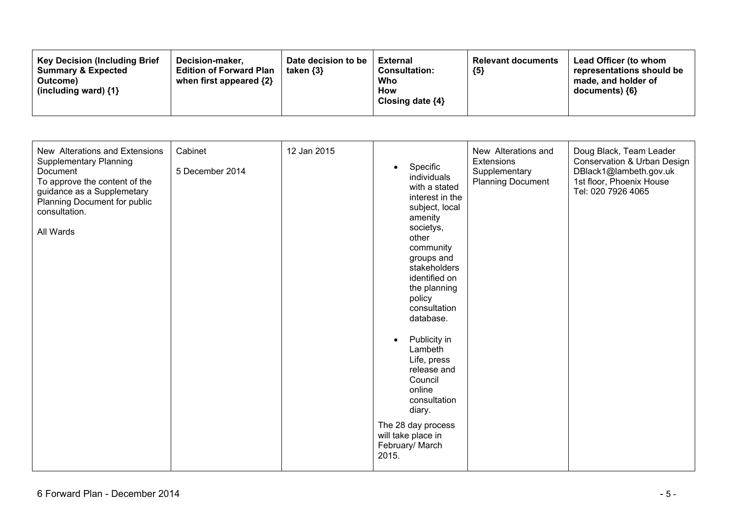| New Alterations and Extensions<br><b>Supplementary Planning</b><br>Document<br>To approve the content of the<br>guidance as a Supplemetary<br>Planning Document for public<br>consultation.<br>All Wards | Cabinet<br>5 December 2014 | 12 Jan 2015 | Specific<br>$\bullet$<br>individuals<br>with a stated<br>interest in the<br>subject, local<br>amenity<br>societys,<br>other<br>community<br>groups and<br>stakeholders<br>identified on<br>the planning<br>policy<br>consultation<br>database.<br>Publicity in<br>$\bullet$<br>Lambeth<br>Life, press<br>release and<br>Council<br>online<br>consultation<br>diary.<br>The 28 day process<br>will take place in<br>February/ March<br>2015. | New Alterations and<br>Extensions<br>Supplementary<br><b>Planning Document</b> | Doug Black, Team Leader<br>Conservation & Urban Design<br>DBlack1@lambeth.gov.uk<br>1st floor, Phoenix House<br>Tel: 020 7926 4065 |
|----------------------------------------------------------------------------------------------------------------------------------------------------------------------------------------------------------|----------------------------|-------------|---------------------------------------------------------------------------------------------------------------------------------------------------------------------------------------------------------------------------------------------------------------------------------------------------------------------------------------------------------------------------------------------------------------------------------------------|--------------------------------------------------------------------------------|------------------------------------------------------------------------------------------------------------------------------------|
|----------------------------------------------------------------------------------------------------------------------------------------------------------------------------------------------------------|----------------------------|-------------|---------------------------------------------------------------------------------------------------------------------------------------------------------------------------------------------------------------------------------------------------------------------------------------------------------------------------------------------------------------------------------------------------------------------------------------------|--------------------------------------------------------------------------------|------------------------------------------------------------------------------------------------------------------------------------|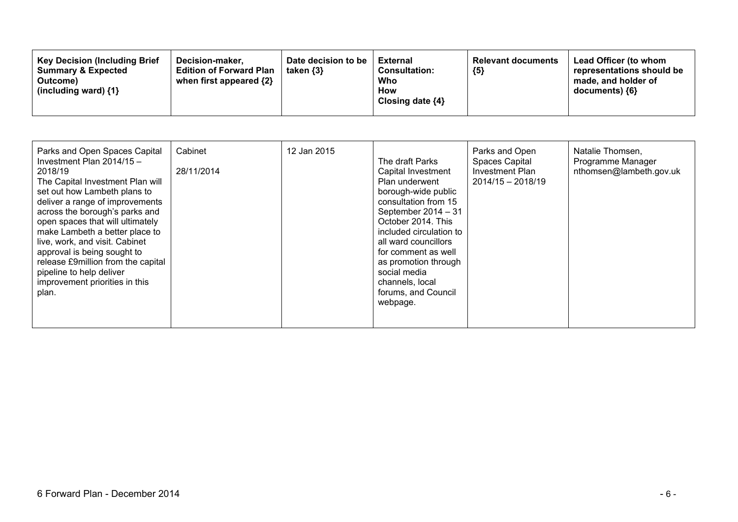| <b>Key Decision (Including Brief</b><br>Decision-maker.<br><b>Edition of Forward Plan</b><br><b>Summary &amp; Expected</b><br>when first appeared {2}<br>Outcome)<br>$(includingward)$ {1} | Date decision to be<br>taken $\{3\}$ | <b>External</b><br><b>Consultation:</b><br>Who<br><b>How</b><br>Closing date $\{4\}$ | <b>Relevant documents</b><br>${5}$ | Lead Officer (to whom<br>representations should be<br>made, and holder of<br>$documents)$ {6} |
|--------------------------------------------------------------------------------------------------------------------------------------------------------------------------------------------|--------------------------------------|--------------------------------------------------------------------------------------|------------------------------------|-----------------------------------------------------------------------------------------------|
|--------------------------------------------------------------------------------------------------------------------------------------------------------------------------------------------|--------------------------------------|--------------------------------------------------------------------------------------|------------------------------------|-----------------------------------------------------------------------------------------------|

| Parks and Open Spaces Capital<br>Investment Plan $2014/15 -$<br>2018/19<br>The Capital Investment Plan will<br>set out how Lambeth plans to<br>deliver a range of improvements<br>across the borough's parks and<br>open spaces that will ultimately<br>make Lambeth a better place to<br>live, work, and visit. Cabinet<br>approval is being sought to<br>release £9million from the capital<br>pipeline to help deliver<br>improvement priorities in this<br>plan. | Cabinet<br>28/11/2014 | 12 Jan 2015 | The draft Parks<br>Capital Investment<br>Plan underwent<br>borough-wide public<br>consultation from 15<br>September 2014 - 31<br>October 2014. This<br>included circulation to<br>all ward councillors<br>for comment as well<br>as promotion through<br>social media<br>channels, local<br>forums, and Council<br>webpage. | Parks and Open<br>Spaces Capital<br>Investment Plan<br>$2014/15 - 2018/19$ | Natalie Thomsen,<br>Programme Manager<br>nthomsen@lambeth.gov.uk |
|----------------------------------------------------------------------------------------------------------------------------------------------------------------------------------------------------------------------------------------------------------------------------------------------------------------------------------------------------------------------------------------------------------------------------------------------------------------------|-----------------------|-------------|-----------------------------------------------------------------------------------------------------------------------------------------------------------------------------------------------------------------------------------------------------------------------------------------------------------------------------|----------------------------------------------------------------------------|------------------------------------------------------------------|
|----------------------------------------------------------------------------------------------------------------------------------------------------------------------------------------------------------------------------------------------------------------------------------------------------------------------------------------------------------------------------------------------------------------------------------------------------------------------|-----------------------|-------------|-----------------------------------------------------------------------------------------------------------------------------------------------------------------------------------------------------------------------------------------------------------------------------------------------------------------------------|----------------------------------------------------------------------------|------------------------------------------------------------------|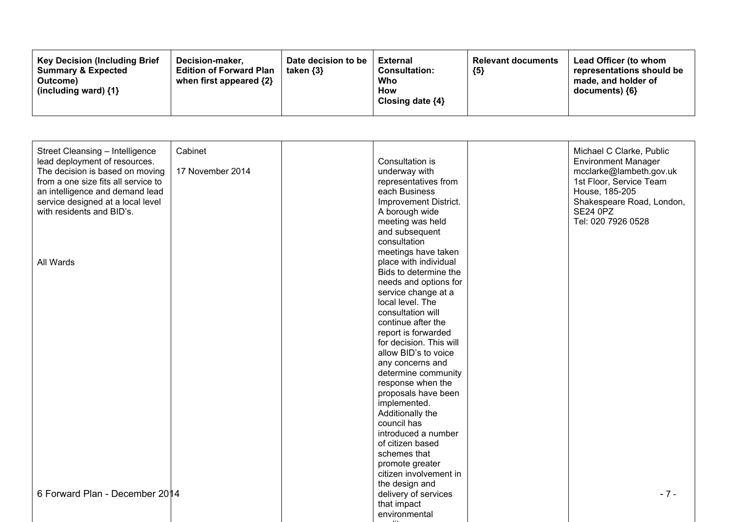| <b>Key Decision (Including Brief)</b><br>Decision-maker.<br><b>Edition of Forward Plan</b><br><b>Summary &amp; Expected</b><br>when first appeared {2}<br>Outcome)<br>(including ward) $\{1\}$ | Date decision to be<br>taken $\{3\}$ | <b>External</b><br><b>Consultation:</b><br>Who<br>How<br>Closing date $\{4\}$ | <b>Relevant documents</b><br>${5}$ | Lead Officer (to whom<br>representations should be<br>made, and holder of<br>$documents)$ {6} |
|------------------------------------------------------------------------------------------------------------------------------------------------------------------------------------------------|--------------------------------------|-------------------------------------------------------------------------------|------------------------------------|-----------------------------------------------------------------------------------------------|
|------------------------------------------------------------------------------------------------------------------------------------------------------------------------------------------------|--------------------------------------|-------------------------------------------------------------------------------|------------------------------------|-----------------------------------------------------------------------------------------------|

| Street Cleansing - Intelligence<br>lead deployment of resources.<br>The decision is based on moving<br>from a one size fits all service to<br>an intelligence and demand lead<br>service designed at a local level<br>with residents and BID's. | Cabinet<br>17 November 2014 | Consultation is<br>underway with<br>representatives from<br>each Business<br>Improvement District.<br>A borough wide<br>meeting was held<br>and subsequent                                                                                                                                                                                                                                                                                                                          | Michael C Clarke, Public<br><b>Environment Manager</b><br>mcclarke@lambeth.gov.uk<br>1st Floor, Service Team<br>House, 185-205<br>Shakespeare Road, London,<br><b>SE24 0PZ</b><br>Tel: 020 7926 0528 |
|-------------------------------------------------------------------------------------------------------------------------------------------------------------------------------------------------------------------------------------------------|-----------------------------|-------------------------------------------------------------------------------------------------------------------------------------------------------------------------------------------------------------------------------------------------------------------------------------------------------------------------------------------------------------------------------------------------------------------------------------------------------------------------------------|------------------------------------------------------------------------------------------------------------------------------------------------------------------------------------------------------|
| All Wards                                                                                                                                                                                                                                       |                             | consultation<br>meetings have taken<br>place with individual<br>Bids to determine the<br>needs and options for<br>service change at a<br>local level. The<br>consultation will<br>continue after the<br>report is forwarded<br>for decision. This will<br>allow BID's to voice<br>any concerns and<br>determine community<br>response when the<br>proposals have been<br>implemented.<br>Additionally the<br>council has<br>introduced a number<br>of citizen based<br>schemes that |                                                                                                                                                                                                      |
| 6 Forward Plan - December 2014                                                                                                                                                                                                                  |                             | promote greater<br>citizen involvement in<br>the design and<br>delivery of services<br>that impact<br>environmental                                                                                                                                                                                                                                                                                                                                                                 | $-7-$                                                                                                                                                                                                |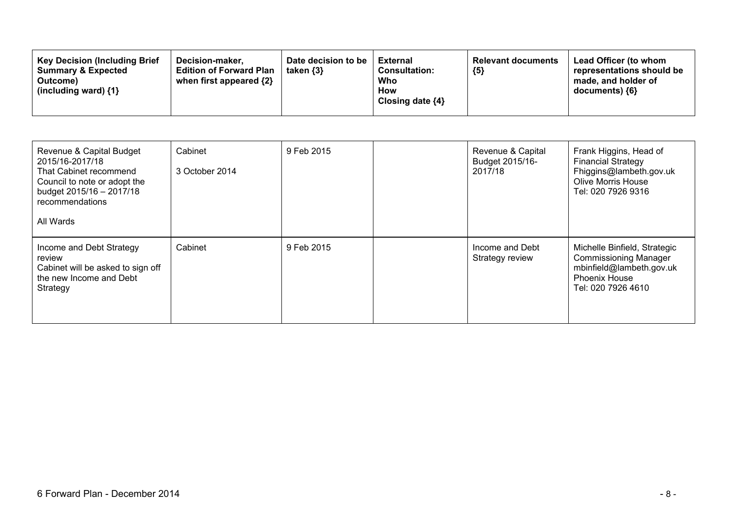| <b>Key Decision (Including Brief</b><br>Decision-maker.<br><b>Summary &amp; Expected</b><br><b>Edition of Forward Plan</b><br>when first appeared {2}<br>Outcome)<br>(including ward) $\{1\}$ | Date decision to be<br>taken $\{3\}$ | <b>External</b><br><b>Consultation:</b><br>Who<br>How<br>Closing date $\{4\}$ | <b>Relevant documents</b><br>${5}$ | <b>Lead Officer (to whom</b><br>representations should be<br>made, and holder of<br>documents) {6} |
|-----------------------------------------------------------------------------------------------------------------------------------------------------------------------------------------------|--------------------------------------|-------------------------------------------------------------------------------|------------------------------------|----------------------------------------------------------------------------------------------------|
|-----------------------------------------------------------------------------------------------------------------------------------------------------------------------------------------------|--------------------------------------|-------------------------------------------------------------------------------|------------------------------------|----------------------------------------------------------------------------------------------------|

| Revenue & Capital Budget<br>2015/16-2017/18<br>That Cabinet recommend<br>Council to note or adopt the<br>budget 2015/16 - 2017/18<br>recommendations<br>All Wards | Cabinet<br>3 October 2014 | 9 Feb 2015 | Revenue & Capital<br>Budget 2015/16-<br>2017/18 | Frank Higgins, Head of<br><b>Financial Strategy</b><br>Fhiggins@lambeth.gov.uk<br><b>Olive Morris House</b><br>Tel: 020 7926 9316      |
|-------------------------------------------------------------------------------------------------------------------------------------------------------------------|---------------------------|------------|-------------------------------------------------|----------------------------------------------------------------------------------------------------------------------------------------|
| Income and Debt Strategy<br>review<br>Cabinet will be asked to sign off<br>the new Income and Debt<br>Strategy                                                    | Cabinet                   | 9 Feb 2015 | Income and Debt<br>Strategy review              | Michelle Binfield, Strategic<br><b>Commissioning Manager</b><br>mbinfield@lambeth.gov.uk<br><b>Phoenix House</b><br>Tel: 020 7926 4610 |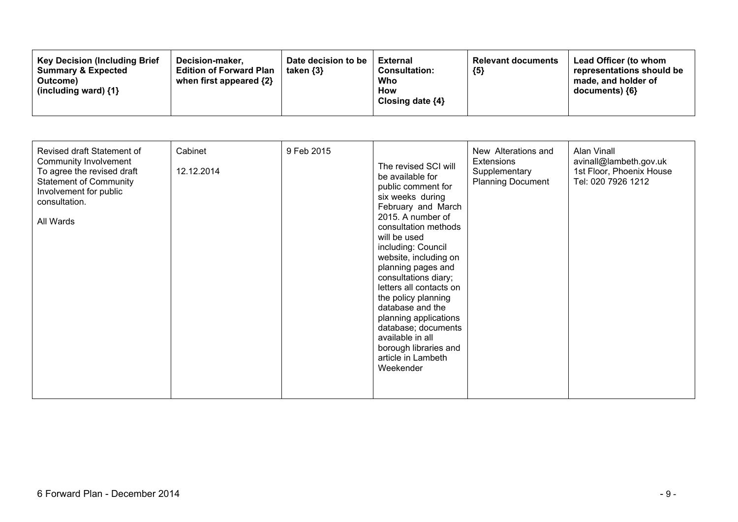| <b>Key Decision (Including Brief</b><br>Decision-maker.<br><b>Summary &amp; Expected</b><br><b>Edition of Forward Plan</b><br>when first appeared $\{2\}$<br>Outcome)<br>(including ward) $\{1\}$ | Date decision to be<br><b>External</b><br><b>Consultation:</b><br>taken {3}<br>Who<br><b>How</b><br>Closing date $\{4\}$ | <b>Relevant documents</b><br>${5}$ | Lead Officer (to whom<br>representations should be<br>made, and holder of<br>documents) {6} |
|---------------------------------------------------------------------------------------------------------------------------------------------------------------------------------------------------|--------------------------------------------------------------------------------------------------------------------------|------------------------------------|---------------------------------------------------------------------------------------------|
|---------------------------------------------------------------------------------------------------------------------------------------------------------------------------------------------------|--------------------------------------------------------------------------------------------------------------------------|------------------------------------|---------------------------------------------------------------------------------------------|

| Revised draft Statement of<br>Community Involvement<br>To agree the revised draft<br><b>Statement of Community</b><br>Involvement for public<br>consultation.<br>All Wards | Cabinet<br>12.12.2014 | 9 Feb 2015 | The revised SCI will<br>be available for<br>public comment for<br>six weeks during<br>February and March<br>2015. A number of<br>consultation methods<br>will be used<br>including: Council<br>website, including on<br>planning pages and<br>consultations diary;<br>letters all contacts on<br>the policy planning<br>database and the<br>planning applications<br>database; documents<br>available in all<br>borough libraries and<br>article in Lambeth<br>Weekender | New Alterations and<br><b>Extensions</b><br>Supplementary<br><b>Planning Document</b> | Alan Vinall<br>avinall@lambeth.gov.uk<br>1st Floor, Phoenix House<br>Tel: 020 7926 1212 |
|----------------------------------------------------------------------------------------------------------------------------------------------------------------------------|-----------------------|------------|--------------------------------------------------------------------------------------------------------------------------------------------------------------------------------------------------------------------------------------------------------------------------------------------------------------------------------------------------------------------------------------------------------------------------------------------------------------------------|---------------------------------------------------------------------------------------|-----------------------------------------------------------------------------------------|
|----------------------------------------------------------------------------------------------------------------------------------------------------------------------------|-----------------------|------------|--------------------------------------------------------------------------------------------------------------------------------------------------------------------------------------------------------------------------------------------------------------------------------------------------------------------------------------------------------------------------------------------------------------------------------------------------------------------------|---------------------------------------------------------------------------------------|-----------------------------------------------------------------------------------------|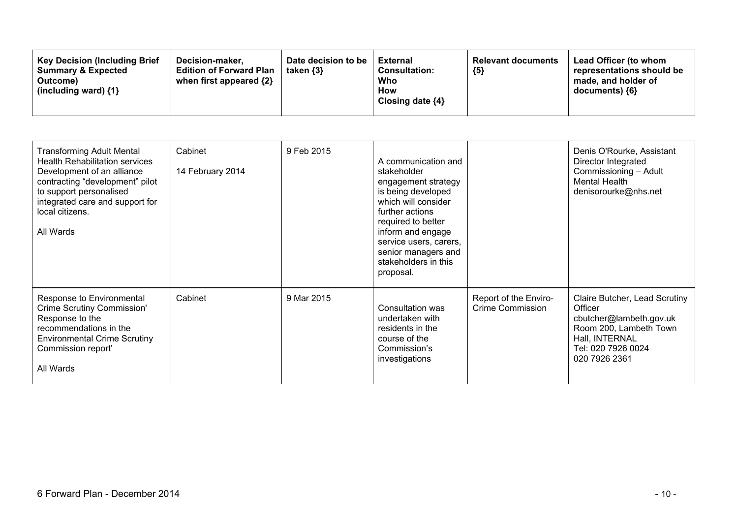| <b>Key Decision (Including Brief</b><br><b>Summary &amp; Expected</b><br>Outcome)<br>(including ward) $\{1\}$ | Decision-maker.<br><b>Edition of Forward Plan</b><br>when first appeared {2} | Date decision to be<br>taken $\{3\}$ | <b>External</b><br><b>Consultation:</b><br>Who<br>How<br>Closing date $\{4\}$ | <b>Relevant documents</b><br>${5}$ | Lead Officer (to whom<br>representations should be<br>made, and holder of<br>documents) {6} |
|---------------------------------------------------------------------------------------------------------------|------------------------------------------------------------------------------|--------------------------------------|-------------------------------------------------------------------------------|------------------------------------|---------------------------------------------------------------------------------------------|
|---------------------------------------------------------------------------------------------------------------|------------------------------------------------------------------------------|--------------------------------------|-------------------------------------------------------------------------------|------------------------------------|---------------------------------------------------------------------------------------------|

| <b>Transforming Adult Mental</b><br><b>Health Rehabilitation services</b><br>Development of an alliance<br>contracting "development" pilot<br>to support personalised<br>integrated care and support for<br>local citizens.<br>All Wards | Cabinet<br>14 February 2014 | 9 Feb 2015 | A communication and<br>stakeholder<br>engagement strategy<br>is being developed<br>which will consider<br>further actions<br>required to better<br>inform and engage<br>service users, carers,<br>senior managers and<br>stakeholders in this<br>proposal. |                                           | Denis O'Rourke, Assistant<br>Director Integrated<br>Commissioning - Adult<br>Mental Health<br>denisorourke@nhs.net                                     |
|------------------------------------------------------------------------------------------------------------------------------------------------------------------------------------------------------------------------------------------|-----------------------------|------------|------------------------------------------------------------------------------------------------------------------------------------------------------------------------------------------------------------------------------------------------------------|-------------------------------------------|--------------------------------------------------------------------------------------------------------------------------------------------------------|
| Response to Environmental<br>Crime Scrutiny Commission'<br>Response to the<br>recommendations in the<br><b>Environmental Crime Scrutiny</b><br>Commission report'<br>All Wards                                                           | Cabinet                     | 9 Mar 2015 | Consultation was<br>undertaken with<br>residents in the<br>course of the<br>Commission's<br>investigations                                                                                                                                                 | Report of the Enviro-<br>Crime Commission | Claire Butcher, Lead Scrutiny<br>Officer<br>cbutcher@lambeth.gov.uk<br>Room 200, Lambeth Town<br>Hall, INTERNAL<br>Tel: 020 7926 0024<br>020 7926 2361 |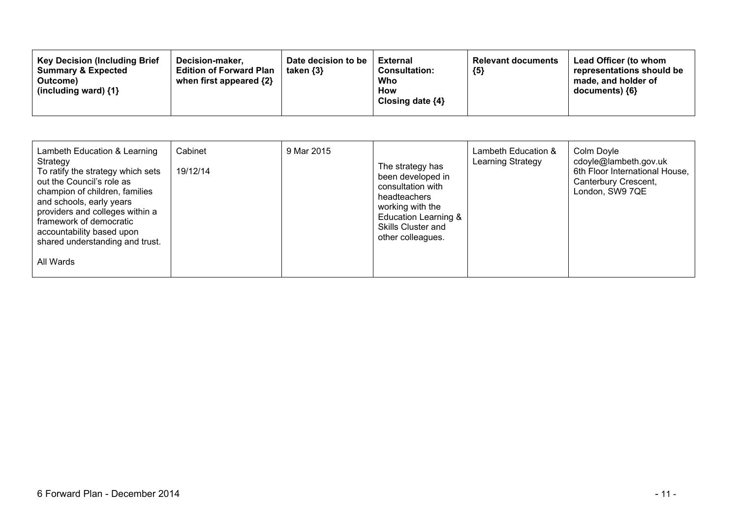| Lambeth Education & Learning<br>Strategy<br>To ratify the strategy which sets<br>out the Council's role as<br>champion of children, families<br>and schools, early years<br>providers and colleges within a<br>framework of democratic<br>accountability based upon<br>shared understanding and trust. | Cabinet<br>19/12/14 | 9 Mar 2015 | The strategy has<br>been developed in<br>consultation with<br>headteachers<br>working with the<br><b>Education Learning &amp;</b><br>Skills Cluster and<br>other colleagues. | Lambeth Education &<br>Learning Strategy | Colm Doyle<br>cdoyle@lambeth.gov.uk<br>6th Floor International House,<br>Canterbury Crescent,<br>London, SW9 7QE |
|--------------------------------------------------------------------------------------------------------------------------------------------------------------------------------------------------------------------------------------------------------------------------------------------------------|---------------------|------------|------------------------------------------------------------------------------------------------------------------------------------------------------------------------------|------------------------------------------|------------------------------------------------------------------------------------------------------------------|
| All Wards                                                                                                                                                                                                                                                                                              |                     |            |                                                                                                                                                                              |                                          |                                                                                                                  |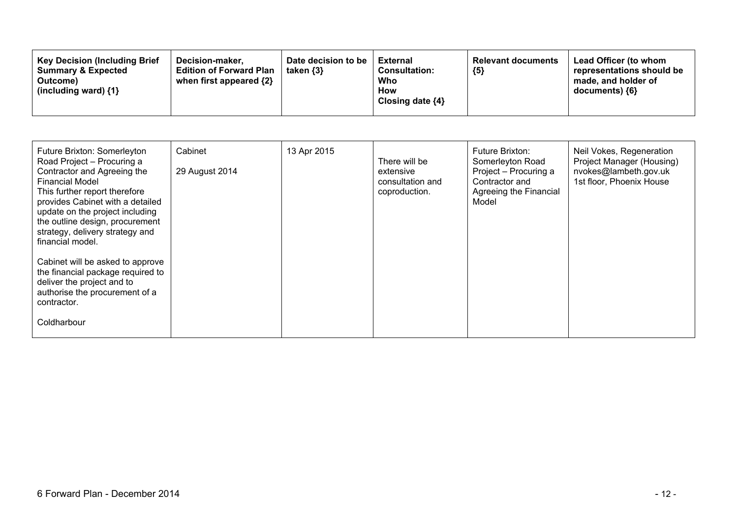| <b>Key Decision (Including Brief</b><br><b>Summary &amp; Expected</b><br>Outcome)<br>(including ward) $\{1\}$ | Date decision to be<br>Decision-maker.<br><b>Edition of Forward Plan</b><br>taken $\{3\}$<br>when first appeared {2} | External<br><b>Consultation:</b><br>Who<br>How<br>Closing date $\{4\}$ | <b>Relevant documents</b><br>${5}$ | Lead Officer (to whom<br>representations should be<br>made, and holder of<br>$documents)$ {6} |
|---------------------------------------------------------------------------------------------------------------|----------------------------------------------------------------------------------------------------------------------|------------------------------------------------------------------------|------------------------------------|-----------------------------------------------------------------------------------------------|
|---------------------------------------------------------------------------------------------------------------|----------------------------------------------------------------------------------------------------------------------|------------------------------------------------------------------------|------------------------------------|-----------------------------------------------------------------------------------------------|

| Future Brixton: Somerleyton<br>Road Project - Procuring a<br>Contractor and Agreeing the<br><b>Financial Model</b><br>This further report therefore<br>provides Cabinet with a detailed<br>update on the project including<br>the outline design, procurement<br>strategy, delivery strategy and<br>financial model. | Cabinet<br>29 August 2014 | 13 Apr 2015 | There will be<br>extensive<br>consultation and<br>coproduction. | Future Brixton:<br>Somerleyton Road<br>Project - Procuring a<br>Contractor and<br>Agreeing the Financial<br>Model | Neil Vokes, Regeneration<br>Project Manager (Housing)<br>nvokes@lambeth.gov.uk<br>1st floor, Phoenix House |
|----------------------------------------------------------------------------------------------------------------------------------------------------------------------------------------------------------------------------------------------------------------------------------------------------------------------|---------------------------|-------------|-----------------------------------------------------------------|-------------------------------------------------------------------------------------------------------------------|------------------------------------------------------------------------------------------------------------|
| Cabinet will be asked to approve<br>the financial package required to<br>deliver the project and to<br>authorise the procurement of a<br>contractor.<br>Coldharbour                                                                                                                                                  |                           |             |                                                                 |                                                                                                                   |                                                                                                            |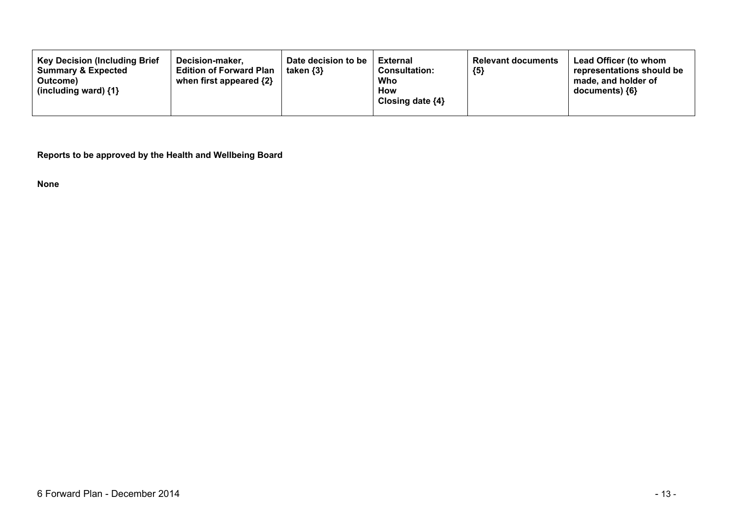| <b>Key Decision (Including Brief)</b><br>Decision-maker.<br><b>Summary &amp; Expected</b><br><b>Edition of Forward Plan</b><br>when first appeared {2}<br>Outcome)<br>(including ward) $\{1\}$ | Date decision to be<br>taken $\{3\}$ | External<br><b>Consultation:</b><br>Who<br>How<br>Closing date $\{4\}$ | <b>Relevant documents</b><br>${5}$ | Lead Officer (to whom<br>representations should be<br>made, and holder of<br>documents) ${6}$ |
|------------------------------------------------------------------------------------------------------------------------------------------------------------------------------------------------|--------------------------------------|------------------------------------------------------------------------|------------------------------------|-----------------------------------------------------------------------------------------------|
|------------------------------------------------------------------------------------------------------------------------------------------------------------------------------------------------|--------------------------------------|------------------------------------------------------------------------|------------------------------------|-----------------------------------------------------------------------------------------------|

**Reports to be approved by the Health and Wellbeing Board**

**None**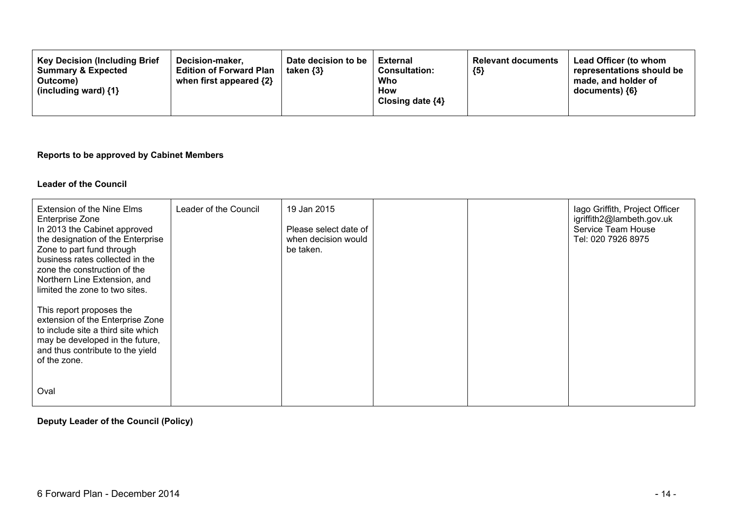| <b>Key Decision (Including Brief</b><br>Decision-maker.<br><b>Summary &amp; Expected</b><br><b>Edition of Forward Plan</b><br>when first appeared {2}<br>Outcome)<br>(including ward) $\{1\}$ | Date decision to be<br>taken $\{3\}$ | External<br><b>Consultation:</b><br>Who<br><b>How</b><br>Closing date $\{4\}$ | <b>Relevant documents</b><br>${5}$ | Lead Officer (to whom<br>representations should be<br>made, and holder of<br>documents) ${6}$ |
|-----------------------------------------------------------------------------------------------------------------------------------------------------------------------------------------------|--------------------------------------|-------------------------------------------------------------------------------|------------------------------------|-----------------------------------------------------------------------------------------------|
|-----------------------------------------------------------------------------------------------------------------------------------------------------------------------------------------------|--------------------------------------|-------------------------------------------------------------------------------|------------------------------------|-----------------------------------------------------------------------------------------------|

## **Reports to be approved by Cabinet Members**

# **Leader of the Council**

| <b>Extension of the Nine Elms</b><br>Enterprise Zone<br>In 2013 the Cabinet approved<br>the designation of the Enterprise<br>Zone to part fund through<br>business rates collected in the<br>zone the construction of the<br>Northern Line Extension, and<br>limited the zone to two sites. | Leader of the Council | 19 Jan 2015<br>Please select date of<br>when decision would<br>be taken. |  | lago Griffith, Project Officer<br>igriffith2@lambeth.gov.uk<br>Service Team House<br>Tel: 020 7926 8975 |
|---------------------------------------------------------------------------------------------------------------------------------------------------------------------------------------------------------------------------------------------------------------------------------------------|-----------------------|--------------------------------------------------------------------------|--|---------------------------------------------------------------------------------------------------------|
| This report proposes the<br>extension of the Enterprise Zone<br>to include site a third site which<br>may be developed in the future,<br>and thus contribute to the yield<br>of the zone.                                                                                                   |                       |                                                                          |  |                                                                                                         |
| Oval                                                                                                                                                                                                                                                                                        |                       |                                                                          |  |                                                                                                         |

# **Deputy Leader of the Council (Policy)**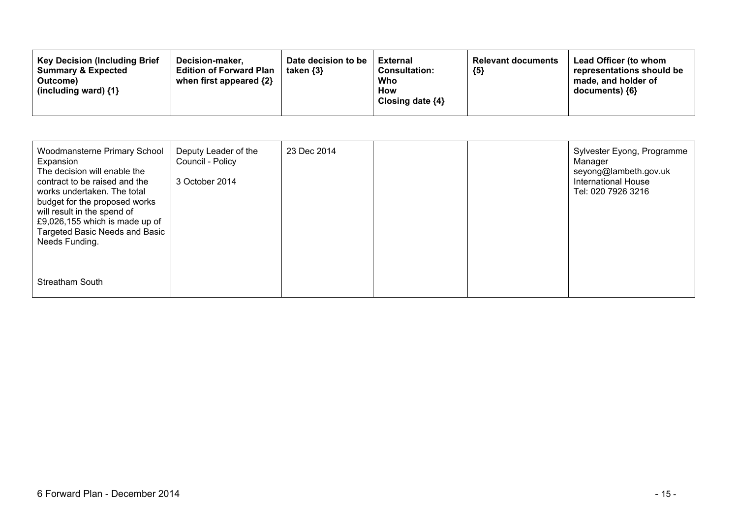| <b>Key Decision (Including Brief</b><br>Date decision to be<br>Decision-maker.<br><b>Edition of Forward Plan</b><br><b>Summary &amp; Expected</b><br>taken $\{3\}$<br>when first appeared {2}<br>Outcome)<br>(including ward) $\{1\}$ | <b>External</b><br>${5}$<br><b>Consultation:</b><br>Who<br><b>How</b><br>Closing date $\{4\}$ | Lead Officer (to whom<br><b>Relevant documents</b><br>representations should be<br>made, and holder of<br>$documents)$ {6} |
|---------------------------------------------------------------------------------------------------------------------------------------------------------------------------------------------------------------------------------------|-----------------------------------------------------------------------------------------------|----------------------------------------------------------------------------------------------------------------------------|
|---------------------------------------------------------------------------------------------------------------------------------------------------------------------------------------------------------------------------------------|-----------------------------------------------------------------------------------------------|----------------------------------------------------------------------------------------------------------------------------|

| Woodmansterne Primary School<br>Expansion<br>The decision will enable the<br>contract to be raised and the<br>works undertaken. The total<br>budget for the proposed works<br>will result in the spend of<br>£9,026,155 which is made up of<br><b>Targeted Basic Needs and Basic</b><br>Needs Funding. | Deputy Leader of the<br>Council - Policy<br>3 October 2014 | 23 Dec 2014 |  | Sylvester Eyong, Programme<br>Manager<br>seyong@lambeth.gov.uk<br><b>International House</b><br>Tel: 020 7926 3216 |
|--------------------------------------------------------------------------------------------------------------------------------------------------------------------------------------------------------------------------------------------------------------------------------------------------------|------------------------------------------------------------|-------------|--|--------------------------------------------------------------------------------------------------------------------|
| <b>Streatham South</b>                                                                                                                                                                                                                                                                                 |                                                            |             |  |                                                                                                                    |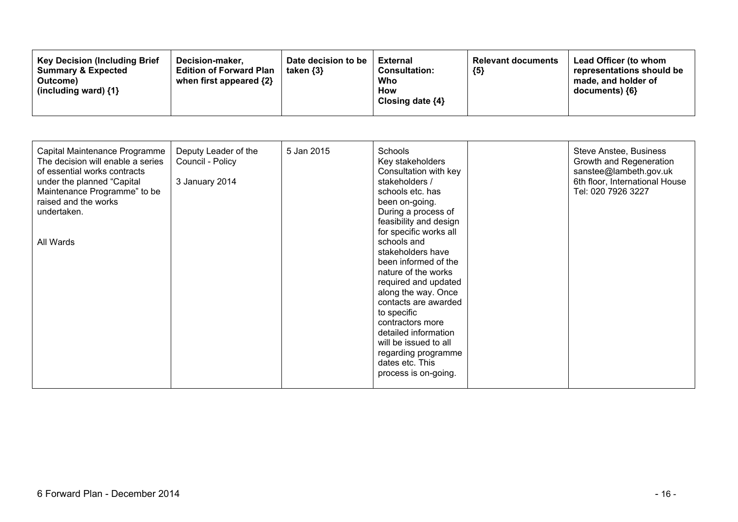| Date decision to be<br><b>Key Decision (Including Brief</b><br>Decision-maker,<br><b>Summary &amp; Expected</b><br><b>Edition of Forward Plan</b><br>taken $\{3\}$<br>when first appeared $\{2\}$<br>Outcome)<br>(including ward) $\{1\}$ | External<br>${5}$<br><b>Consultation:</b><br>Who<br>How<br>Closing date ${4}$ | Lead Officer (to whom<br><b>Relevant documents</b><br>representations should be<br>made, and holder of<br>documents) ${6}$ |
|-------------------------------------------------------------------------------------------------------------------------------------------------------------------------------------------------------------------------------------------|-------------------------------------------------------------------------------|----------------------------------------------------------------------------------------------------------------------------|
|-------------------------------------------------------------------------------------------------------------------------------------------------------------------------------------------------------------------------------------------|-------------------------------------------------------------------------------|----------------------------------------------------------------------------------------------------------------------------|

| Capital Maintenance Programme<br>The decision will enable a series<br>of essential works contracts<br>under the planned "Capital"<br>Maintenance Programme" to be<br>raised and the works<br>undertaken.<br>All Wards | Deputy Leader of the<br>Council - Policy<br>3 January 2014 | 5 Jan 2015 | Schools<br>Key stakeholders<br>Consultation with key<br>stakeholders /<br>schools etc. has<br>been on-going.<br>During a process of<br>feasibility and design<br>for specific works all<br>schools and<br>stakeholders have<br>been informed of the<br>nature of the works<br>required and updated<br>along the way. Once<br>contacts are awarded<br>to specific<br>contractors more<br>detailed information<br>will be issued to all<br>regarding programme<br>dates etc. This<br>process is on-going. |  | Steve Anstee, Business<br>Growth and Regeneration<br>sanstee@lambeth.gov.uk<br>6th floor, International House<br>Tel: 020 7926 3227 |
|-----------------------------------------------------------------------------------------------------------------------------------------------------------------------------------------------------------------------|------------------------------------------------------------|------------|---------------------------------------------------------------------------------------------------------------------------------------------------------------------------------------------------------------------------------------------------------------------------------------------------------------------------------------------------------------------------------------------------------------------------------------------------------------------------------------------------------|--|-------------------------------------------------------------------------------------------------------------------------------------|
|-----------------------------------------------------------------------------------------------------------------------------------------------------------------------------------------------------------------------|------------------------------------------------------------|------------|---------------------------------------------------------------------------------------------------------------------------------------------------------------------------------------------------------------------------------------------------------------------------------------------------------------------------------------------------------------------------------------------------------------------------------------------------------------------------------------------------------|--|-------------------------------------------------------------------------------------------------------------------------------------|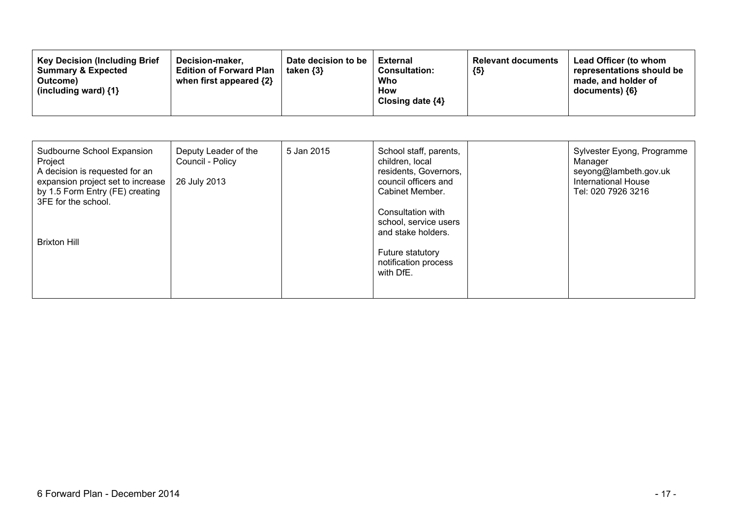| Sudbourne School Expansion<br>Project<br>A decision is requested for an<br>expansion project set to increase<br>by 1.5 Form Entry (FE) creating<br>3FE for the school. | Deputy Leader of the<br>Council - Policy<br>26 July 2013 | 5 Jan 2015 | School staff, parents,<br>children, local<br>residents, Governors,<br>council officers and<br>Cabinet Member.             | Sylvester Eyong, Programme<br>Manager<br>seyong@lambeth.gov.uk<br><b>International House</b><br>Tel: 020 7926 3216 |
|------------------------------------------------------------------------------------------------------------------------------------------------------------------------|----------------------------------------------------------|------------|---------------------------------------------------------------------------------------------------------------------------|--------------------------------------------------------------------------------------------------------------------|
| <b>Brixton Hill</b>                                                                                                                                                    |                                                          |            | Consultation with<br>school, service users<br>and stake holders.<br>Future statutory<br>notification process<br>with DfE. |                                                                                                                    |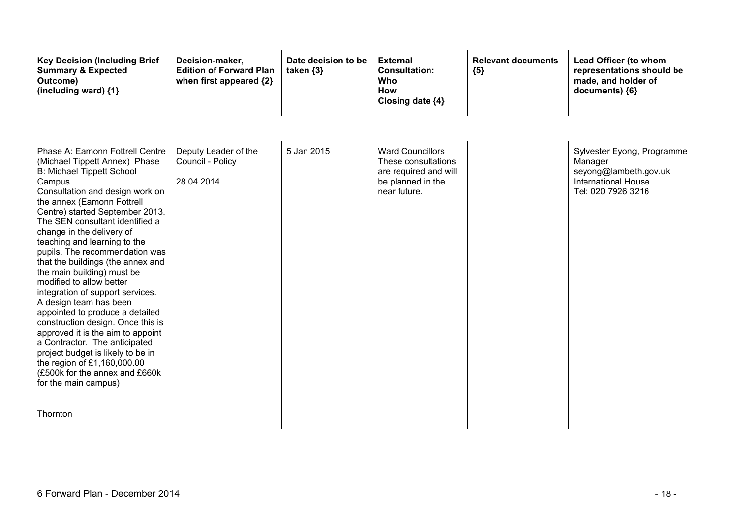| <b>Key Decision (Including Brief</b><br>Decision-maker.<br><b>Edition of Forward Plan</b><br><b>Summary &amp; Expected</b><br>when first appeared $\{2\}$<br>Outcome)<br>(including ward) $\{1\}$ | Date decision to be<br>taken $\{3\}$ | External<br><b>Consultation:</b><br>Who<br>How<br>Closing date ${4}$ | <b>Relevant documents</b><br>${5}$ | Lead Officer (to whom<br>representations should be<br>made, and holder of<br>documents) ${6}$ |
|---------------------------------------------------------------------------------------------------------------------------------------------------------------------------------------------------|--------------------------------------|----------------------------------------------------------------------|------------------------------------|-----------------------------------------------------------------------------------------------|
|---------------------------------------------------------------------------------------------------------------------------------------------------------------------------------------------------|--------------------------------------|----------------------------------------------------------------------|------------------------------------|-----------------------------------------------------------------------------------------------|

| Phase A: Eamonn Fottrell Centre<br>(Michael Tippett Annex) Phase<br><b>B: Michael Tippett School</b><br>Campus<br>Consultation and design work on<br>the annex (Eamonn Fottrell<br>Centre) started September 2013.<br>The SEN consultant identified a<br>change in the delivery of<br>teaching and learning to the<br>pupils. The recommendation was<br>that the buildings (the annex and<br>the main building) must be<br>modified to allow better<br>integration of support services.<br>A design team has been<br>appointed to produce a detailed<br>construction design. Once this is<br>approved it is the aim to appoint<br>a Contractor. The anticipated<br>project budget is likely to be in<br>the region of £1,160,000.00<br>(£500k for the annex and £660k<br>for the main campus) | Deputy Leader of the<br>Council - Policy<br>28.04.2014 | 5 Jan 2015 | <b>Ward Councillors</b><br>These consultations<br>are required and will<br>be planned in the<br>near future. | Sylvester Eyong, Programme<br>Manager<br>seyong@lambeth.gov.uk<br><b>International House</b><br>Tel: 020 7926 3216 |
|-----------------------------------------------------------------------------------------------------------------------------------------------------------------------------------------------------------------------------------------------------------------------------------------------------------------------------------------------------------------------------------------------------------------------------------------------------------------------------------------------------------------------------------------------------------------------------------------------------------------------------------------------------------------------------------------------------------------------------------------------------------------------------------------------|--------------------------------------------------------|------------|--------------------------------------------------------------------------------------------------------------|--------------------------------------------------------------------------------------------------------------------|
| Thornton                                                                                                                                                                                                                                                                                                                                                                                                                                                                                                                                                                                                                                                                                                                                                                                      |                                                        |            |                                                                                                              |                                                                                                                    |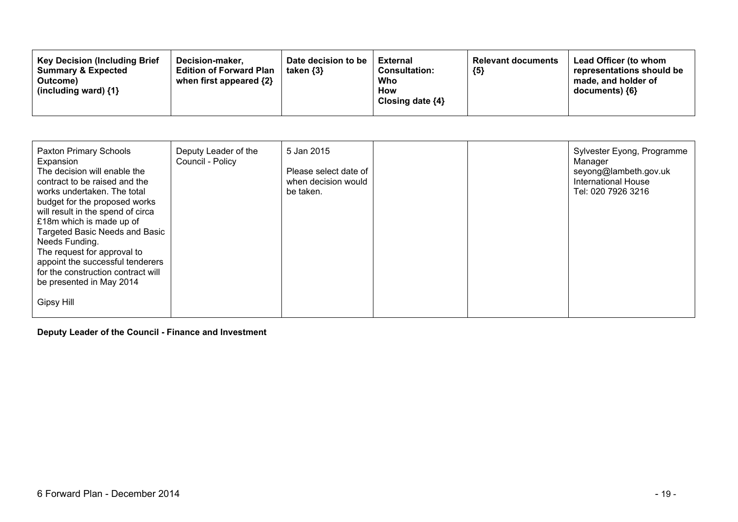| <b>Key Decision (Including Brief</b><br>Date decision to be<br>Decision-maker.<br><b>Edition of Forward Plan</b><br><b>Summary &amp; Expected</b><br>taken $\{3\}$<br>when first appeared {2}<br>Outcome)<br>(including ward) $\{1\}$ | <b>External</b><br>${5}$<br><b>Consultation:</b><br>Who<br><b>How</b><br>Closing date $\{4\}$ | Lead Officer (to whom<br><b>Relevant documents</b><br>representations should be<br>made, and holder of<br>$documents)$ {6} |
|---------------------------------------------------------------------------------------------------------------------------------------------------------------------------------------------------------------------------------------|-----------------------------------------------------------------------------------------------|----------------------------------------------------------------------------------------------------------------------------|
|---------------------------------------------------------------------------------------------------------------------------------------------------------------------------------------------------------------------------------------|-----------------------------------------------------------------------------------------------|----------------------------------------------------------------------------------------------------------------------------|

| Paxton Primary Schools<br>Expansion<br>The decision will enable the<br>contract to be raised and the<br>works undertaken. The total<br>budget for the proposed works<br>will result in the spend of circa<br>£18m which is made up of<br>Targeted Basic Needs and Basic<br>Needs Funding.<br>The request for approval to<br>appoint the successful tenderers<br>for the construction contract will<br>be presented in May 2014 | Deputy Leader of the<br>Council - Policy | 5 Jan 2015<br>Please select date of<br>when decision would<br>be taken. |  | Sylvester Eyong, Programme<br>Manager<br>seyong@lambeth.gov.uk<br><b>International House</b><br>Tel: 020 7926 3216 |
|--------------------------------------------------------------------------------------------------------------------------------------------------------------------------------------------------------------------------------------------------------------------------------------------------------------------------------------------------------------------------------------------------------------------------------|------------------------------------------|-------------------------------------------------------------------------|--|--------------------------------------------------------------------------------------------------------------------|
| <b>Gipsy Hill</b>                                                                                                                                                                                                                                                                                                                                                                                                              |                                          |                                                                         |  |                                                                                                                    |

**Deputy Leader of the Council - Finance and Investment**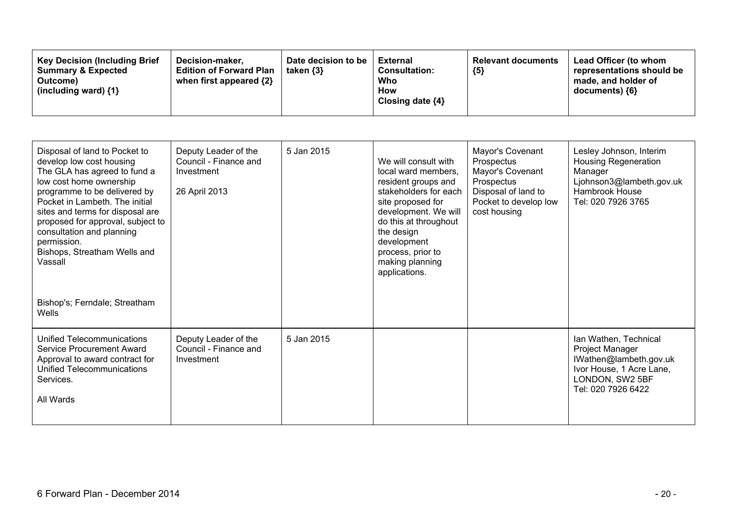| <b>Key Decision (Including Brief</b><br>Date decision to be<br>Decision-maker,<br><b>Summary &amp; Expected</b><br><b>Edition of Forward Plan</b><br>taken $\{3\}$<br>when first appeared {2}<br>Outcome)<br>(including ward) $\{1\}$ | <b>Relevant documents</b><br>External<br><b>Consultation:</b><br>${5}$<br>Who<br>How<br>Closing date $\{4\}$ | Lead Officer (to whom<br>representations should be<br>made, and holder of<br>documents) ${6}$ |
|---------------------------------------------------------------------------------------------------------------------------------------------------------------------------------------------------------------------------------------|--------------------------------------------------------------------------------------------------------------|-----------------------------------------------------------------------------------------------|
|---------------------------------------------------------------------------------------------------------------------------------------------------------------------------------------------------------------------------------------|--------------------------------------------------------------------------------------------------------------|-----------------------------------------------------------------------------------------------|

| Disposal of land to Pocket to<br>develop low cost housing<br>The GLA has agreed to fund a<br>low cost home ownership<br>programme to be delivered by<br>Pocket in Lambeth. The initial<br>sites and terms for disposal are<br>proposed for approval, subject to<br>consultation and planning<br>permission.<br>Bishops, Streatham Wells and<br>Vassall | Deputy Leader of the<br>Council - Finance and<br>Investment<br>26 April 2013 | 5 Jan 2015 | We will consult with<br>local ward members,<br>resident groups and<br>stakeholders for each<br>site proposed for<br>development. We will<br>do this at throughout<br>the design<br>development<br>process, prior to<br>making planning<br>applications. | Mayor's Covenant<br>Prospectus<br>Mayor's Covenant<br>Prospectus<br>Disposal of land to<br>Pocket to develop low<br>cost housing | Lesley Johnson, Interim<br><b>Housing Regeneration</b><br>Manager<br>Ljohnson3@lambeth.gov.uk<br>Hambrook House<br>Tel: 020 7926 3765   |
|--------------------------------------------------------------------------------------------------------------------------------------------------------------------------------------------------------------------------------------------------------------------------------------------------------------------------------------------------------|------------------------------------------------------------------------------|------------|---------------------------------------------------------------------------------------------------------------------------------------------------------------------------------------------------------------------------------------------------------|----------------------------------------------------------------------------------------------------------------------------------|-----------------------------------------------------------------------------------------------------------------------------------------|
| Bishop's; Ferndale; Streatham<br>Wells                                                                                                                                                                                                                                                                                                                 |                                                                              |            |                                                                                                                                                                                                                                                         |                                                                                                                                  |                                                                                                                                         |
| Unified Telecommunications<br>Service Procurement Award<br>Approval to award contract for<br>Unified Telecommunications<br>Services.<br>All Wards                                                                                                                                                                                                      | Deputy Leader of the<br>Council - Finance and<br>Investment                  | 5 Jan 2015 |                                                                                                                                                                                                                                                         |                                                                                                                                  | Ian Wathen, Technical<br>Project Manager<br>IWathen@lambeth.gov.uk<br>Ivor House, 1 Acre Lane,<br>LONDON, SW2 5BF<br>Tel: 020 7926 6422 |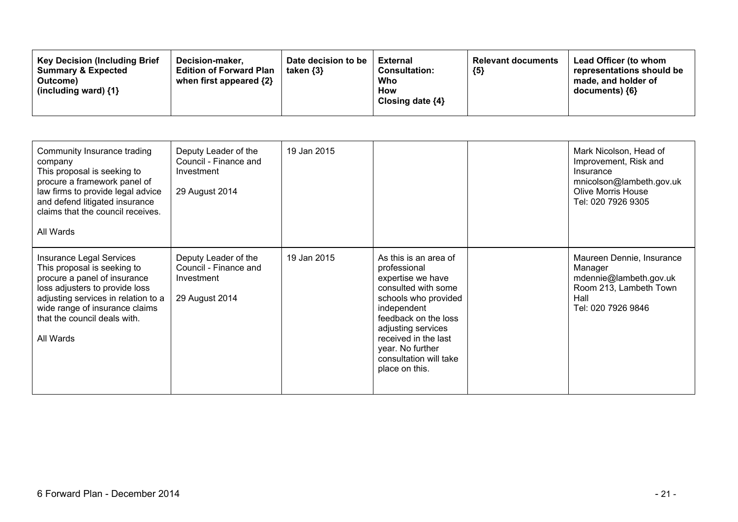| <b>Key Decision (Including Brief)</b><br>Decision-maker.<br><b>Edition of Forward Plan</b><br><b>Summary &amp; Expected</b><br>when first appeared {2}<br>Outcome)<br>(including ward) {1} | Date decision to be<br>taken $\{3\}$ | <b>External</b><br><b>Consultation:</b><br>Who<br>How<br>Closing date $\{4\}$ | <b>Relevant documents</b><br>${5}$ | Lead Officer (to whom<br>representations should be<br>made, and holder of<br>$documents)$ {6} |
|--------------------------------------------------------------------------------------------------------------------------------------------------------------------------------------------|--------------------------------------|-------------------------------------------------------------------------------|------------------------------------|-----------------------------------------------------------------------------------------------|
|--------------------------------------------------------------------------------------------------------------------------------------------------------------------------------------------|--------------------------------------|-------------------------------------------------------------------------------|------------------------------------|-----------------------------------------------------------------------------------------------|

| Community Insurance trading<br>company<br>This proposal is seeking to<br>procure a framework panel of<br>law firms to provide legal advice<br>and defend litigated insurance<br>claims that the council receives.<br>All Wards                         | Deputy Leader of the<br>Council - Finance and<br>Investment<br>29 August 2014 | 19 Jan 2015 |                                                                                                                                                                                                                                                                | Mark Nicolson, Head of<br>Improvement, Risk and<br>Insurance<br>mnicolson@lambeth.gov.uk<br><b>Olive Morris House</b><br>Tel: 020 7926 9305 |
|--------------------------------------------------------------------------------------------------------------------------------------------------------------------------------------------------------------------------------------------------------|-------------------------------------------------------------------------------|-------------|----------------------------------------------------------------------------------------------------------------------------------------------------------------------------------------------------------------------------------------------------------------|---------------------------------------------------------------------------------------------------------------------------------------------|
| <b>Insurance Legal Services</b><br>This proposal is seeking to<br>procure a panel of insurance<br>loss adjusters to provide loss<br>adjusting services in relation to a<br>wide range of insurance claims<br>that the council deals with.<br>All Wards | Deputy Leader of the<br>Council - Finance and<br>Investment<br>29 August 2014 | 19 Jan 2015 | As this is an area of<br>professional<br>expertise we have<br>consulted with some<br>schools who provided<br>independent<br>feedback on the loss<br>adjusting services<br>received in the last<br>year. No further<br>consultation will take<br>place on this. | Maureen Dennie, Insurance<br>Manager<br>mdennie@lambeth.gov.uk<br>Room 213, Lambeth Town<br>Hall<br>Tel: 020 7926 9846                      |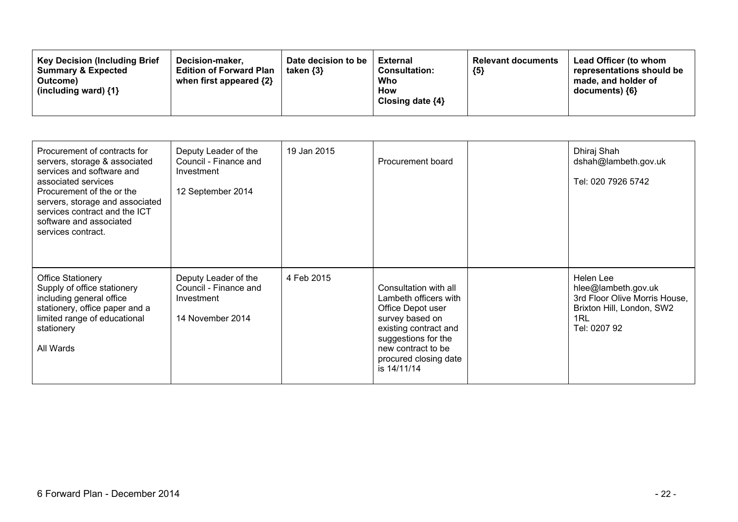| Procurement of contracts for<br>servers, storage & associated<br>services and software and<br>associated services<br>Procurement of the or the<br>servers, storage and associated<br>services contract and the ICT<br>software and associated<br>services contract. | Deputy Leader of the<br>Council - Finance and<br>Investment<br>12 September 2014 | 19 Jan 2015 | Procurement board                                                                                                                                                                                    | Dhiraj Shah<br>dshah@lambeth.gov.uk<br>Tel: 020 7926 5742                                                             |
|---------------------------------------------------------------------------------------------------------------------------------------------------------------------------------------------------------------------------------------------------------------------|----------------------------------------------------------------------------------|-------------|------------------------------------------------------------------------------------------------------------------------------------------------------------------------------------------------------|-----------------------------------------------------------------------------------------------------------------------|
| <b>Office Stationery</b><br>Supply of office stationery<br>including general office<br>stationery, office paper and a<br>limited range of educational<br>stationery<br>All Wards                                                                                    | Deputy Leader of the<br>Council - Finance and<br>Investment<br>14 November 2014  | 4 Feb 2015  | Consultation with all<br>Lambeth officers with<br>Office Depot user<br>survey based on<br>existing contract and<br>suggestions for the<br>new contract to be<br>procured closing date<br>is 14/11/14 | Helen Lee<br>hlee@lambeth.gov.uk<br>3rd Floor Olive Morris House,<br>Brixton Hill, London, SW2<br>1RL<br>Tel: 0207 92 |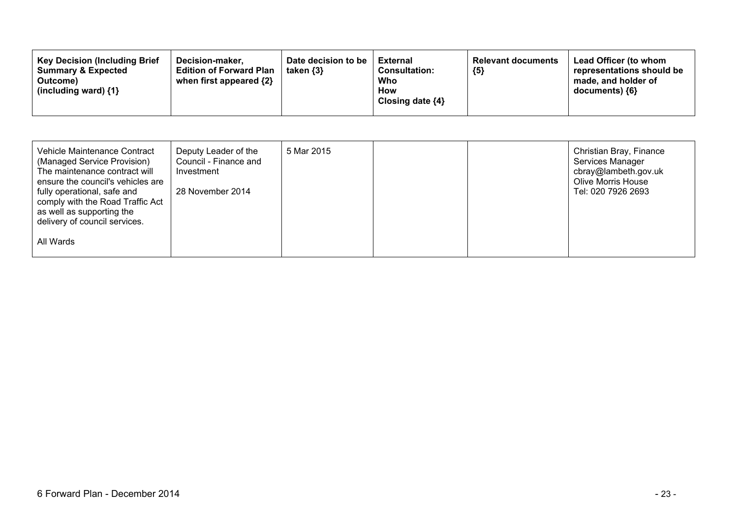| Vehicle Maintenance Contract<br>(Managed Service Provision)<br>The maintenance contract will<br>ensure the council's vehicles are<br>fully operational, safe and<br>comply with the Road Traffic Act<br>as well as supporting the<br>delivery of council services. | Deputy Leader of the<br>Council - Finance and<br>Investment<br>28 November 2014 | 5 Mar 2015 |  | Christian Bray, Finance<br>Services Manager<br>cbray@lambeth.gov.uk<br><b>Olive Morris House</b><br>Tel: 020 7926 2693 |
|--------------------------------------------------------------------------------------------------------------------------------------------------------------------------------------------------------------------------------------------------------------------|---------------------------------------------------------------------------------|------------|--|------------------------------------------------------------------------------------------------------------------------|
| All Wards                                                                                                                                                                                                                                                          |                                                                                 |            |  |                                                                                                                        |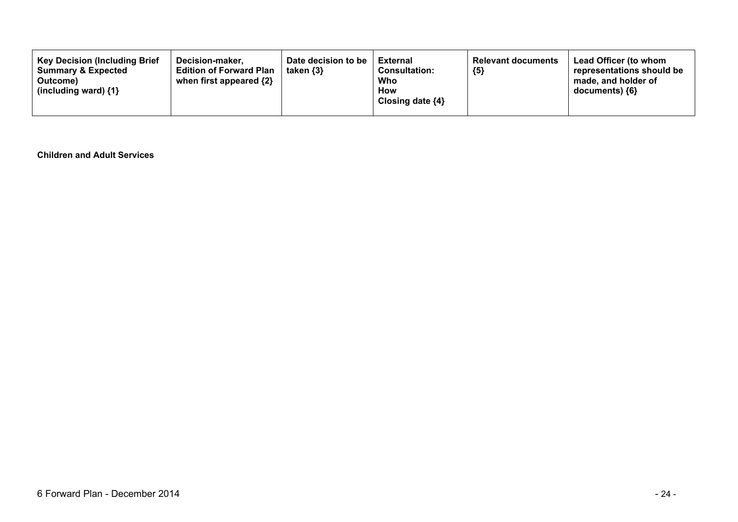**Children and Adult Services**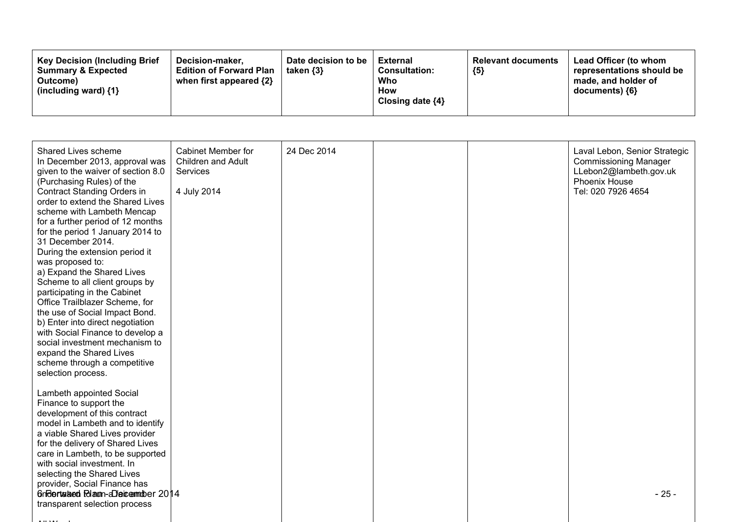| <b>Key Decision (Including Brief</b><br>Decision-maker.<br><b>Summary &amp; Expected</b><br>Outcome)<br>(including ward) $\{1\}$ | Date decision to be<br><b>Edition of Forward Plan</b><br>taken $\{3\}$<br>when first appeared {2} | <b>External</b><br><b>Consultation:</b><br>Who<br>How<br>Closing date $\{4\}$ | <b>Relevant documents</b><br>${5}$ | <b>Lead Officer (to whom</b><br>representations should be<br>made, and holder of<br>documents) ${6}$ |
|----------------------------------------------------------------------------------------------------------------------------------|---------------------------------------------------------------------------------------------------|-------------------------------------------------------------------------------|------------------------------------|------------------------------------------------------------------------------------------------------|
|----------------------------------------------------------------------------------------------------------------------------------|---------------------------------------------------------------------------------------------------|-------------------------------------------------------------------------------|------------------------------------|------------------------------------------------------------------------------------------------------|

| Shared Lives scheme<br>In December 2013, approval was<br>given to the waiver of section 8.0<br>(Purchasing Rules) of the<br>Contract Standing Orders in<br>order to extend the Shared Lives<br>scheme with Lambeth Mencap<br>for a further period of 12 months<br>for the period 1 January 2014 to<br>31 December 2014.<br>During the extension period it<br>was proposed to:<br>a) Expand the Shared Lives<br>Scheme to all client groups by<br>participating in the Cabinet<br>Office Trailblazer Scheme, for<br>the use of Social Impact Bond.<br>b) Enter into direct negotiation<br>with Social Finance to develop a<br>social investment mechanism to<br>expand the Shared Lives<br>scheme through a competitive<br>selection process. | <b>Cabinet Member for</b><br><b>Children and Adult</b><br>Services<br>4 July 2014 | 24 Dec 2014 |  | Laval Lebon, Senior Strategic<br><b>Commissioning Manager</b><br>LLebon2@lambeth.gov.uk<br>Phoenix House<br>Tel: 020 7926 4654 |
|----------------------------------------------------------------------------------------------------------------------------------------------------------------------------------------------------------------------------------------------------------------------------------------------------------------------------------------------------------------------------------------------------------------------------------------------------------------------------------------------------------------------------------------------------------------------------------------------------------------------------------------------------------------------------------------------------------------------------------------------|-----------------------------------------------------------------------------------|-------------|--|--------------------------------------------------------------------------------------------------------------------------------|
| Lambeth appointed Social<br>Finance to support the<br>development of this contract<br>model in Lambeth and to identify<br>a viable Shared Lives provider<br>for the delivery of Shared Lives<br>care in Lambeth, to be supported<br>with social investment. In<br>selecting the Shared Lives<br>provider, Social Finance has<br>6ndertaked Polaum-aDeicemmiber 2014<br>transparent selection process                                                                                                                                                                                                                                                                                                                                         |                                                                                   |             |  | $-25-$                                                                                                                         |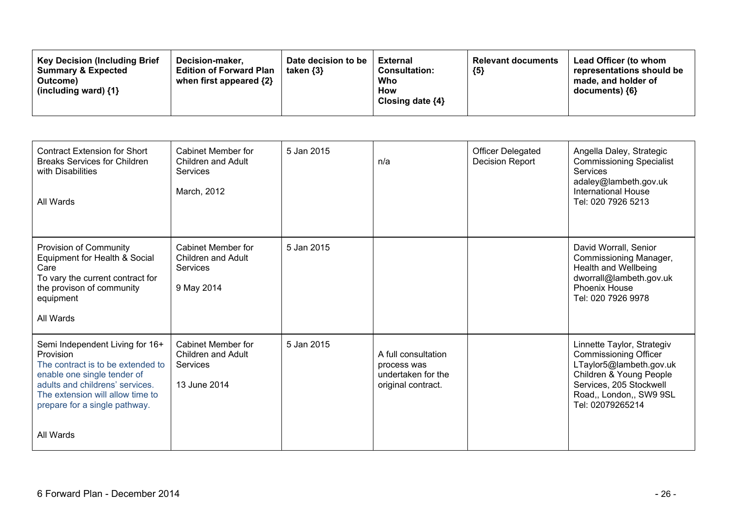| <b>Contract Extension for Short</b><br><b>Breaks Services for Children</b><br>with Disabilities<br>All Wards                                                                                                                          | Cabinet Member for<br>Children and Adult<br><b>Services</b><br>March, 2012 | 5 Jan 2015 | n/a                                                                            | <b>Officer Delegated</b><br><b>Decision Report</b> | Angella Daley, Strategic<br><b>Commissioning Specialist</b><br>Services<br>adaley@lambeth.gov.uk<br><b>International House</b><br>Tel: 020 7926 5213                                       |
|---------------------------------------------------------------------------------------------------------------------------------------------------------------------------------------------------------------------------------------|----------------------------------------------------------------------------|------------|--------------------------------------------------------------------------------|----------------------------------------------------|--------------------------------------------------------------------------------------------------------------------------------------------------------------------------------------------|
| Provision of Community<br>Equipment for Health & Social<br>Care<br>To vary the current contract for<br>the provison of community<br>equipment<br>All Wards                                                                            | Cabinet Member for<br>Children and Adult<br><b>Services</b><br>9 May 2014  | 5 Jan 2015 |                                                                                |                                                    | David Worrall, Senior<br>Commissioning Manager,<br><b>Health and Wellbeing</b><br>dworrall@lambeth.gov.uk<br><b>Phoenix House</b><br>Tel: 020 7926 9978                                    |
| Semi Independent Living for 16+<br>Provision<br>The contract is to be extended to<br>enable one single tender of<br>adults and childrens' services.<br>The extension will allow time to<br>prepare for a single pathway.<br>All Wards | Cabinet Member for<br>Children and Adult<br>Services<br>13 June 2014       | 5 Jan 2015 | A full consultation<br>process was<br>undertaken for the<br>original contract. |                                                    | Linnette Taylor, Strategiv<br><b>Commissioning Officer</b><br>LTaylor5@lambeth.gov.uk<br>Children & Young People<br>Services, 205 Stockwell<br>Road,, London,, SW9 9SL<br>Tel: 02079265214 |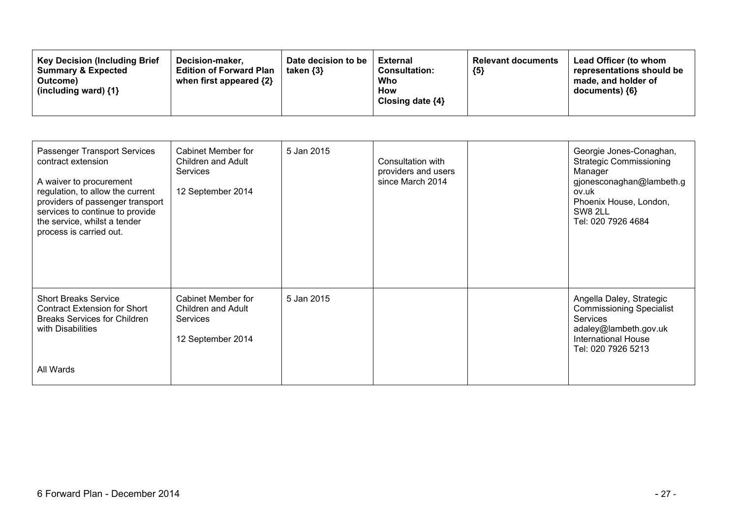| Passenger Transport Services<br>contract extension<br>A waiver to procurement<br>regulation, to allow the current<br>providers of passenger transport<br>services to continue to provide<br>the service, whilst a tender<br>process is carried out. | Cabinet Member for<br>Children and Adult<br><b>Services</b><br>12 September 2014 | 5 Jan 2015 | Consultation with<br>providers and users<br>since March 2014 | Georgie Jones-Conaghan,<br><b>Strategic Commissioning</b><br>Manager<br>gjonesconaghan@lambeth.g<br>ov.uk<br>Phoenix House, London,<br>SW8 2LL<br>Tel: 020 7926 4684 |
|-----------------------------------------------------------------------------------------------------------------------------------------------------------------------------------------------------------------------------------------------------|----------------------------------------------------------------------------------|------------|--------------------------------------------------------------|----------------------------------------------------------------------------------------------------------------------------------------------------------------------|
| <b>Short Breaks Service</b><br><b>Contract Extension for Short</b><br><b>Breaks Services for Children</b><br>with Disabilities<br>All Wards                                                                                                         | Cabinet Member for<br>Children and Adult<br><b>Services</b><br>12 September 2014 | 5 Jan 2015 |                                                              | Angella Daley, Strategic<br><b>Commissioning Specialist</b><br><b>Services</b><br>adaley@lambeth.gov.uk<br><b>International House</b><br>Tel: 020 7926 5213          |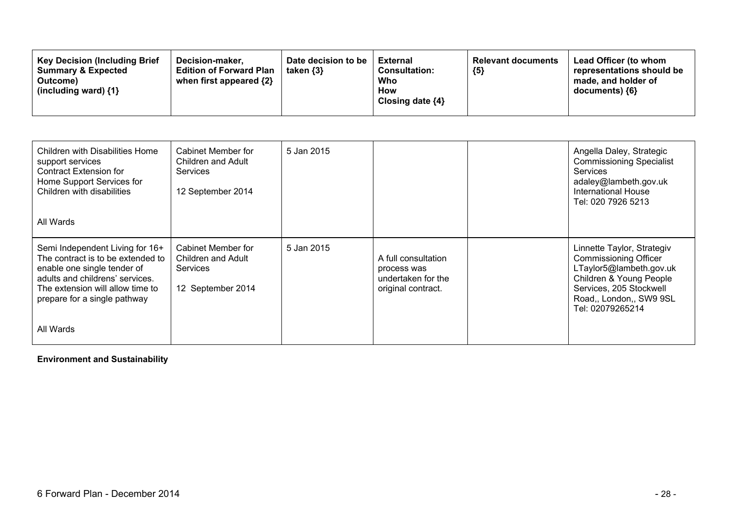| Children with Disabilities Home<br>support services<br>Contract Extension for<br>Home Support Services for<br>Children with disabilities<br>All Wards                                                                   | Cabinet Member for<br>Children and Adult<br><b>Services</b><br>12 September 2014 | 5 Jan 2015 |                                                                                | Angella Daley, Strategic<br><b>Commissioning Specialist</b><br><b>Services</b><br>adaley@lambeth.gov.uk<br>International House<br>Tel: 020 7926 5213                                       |
|-------------------------------------------------------------------------------------------------------------------------------------------------------------------------------------------------------------------------|----------------------------------------------------------------------------------|------------|--------------------------------------------------------------------------------|--------------------------------------------------------------------------------------------------------------------------------------------------------------------------------------------|
| Semi Independent Living for 16+<br>The contract is to be extended to<br>enable one single tender of<br>adults and childrens' services.<br>The extension will allow time to<br>prepare for a single pathway<br>All Wards | Cabinet Member for<br>Children and Adult<br><b>Services</b><br>12 September 2014 | 5 Jan 2015 | A full consultation<br>process was<br>undertaken for the<br>original contract. | Linnette Taylor, Strategiv<br><b>Commissioning Officer</b><br>LTaylor5@lambeth.gov.uk<br>Children & Young People<br>Services, 205 Stockwell<br>Road,, London,, SW9 9SL<br>Tel: 02079265214 |

**Environment and Sustainability**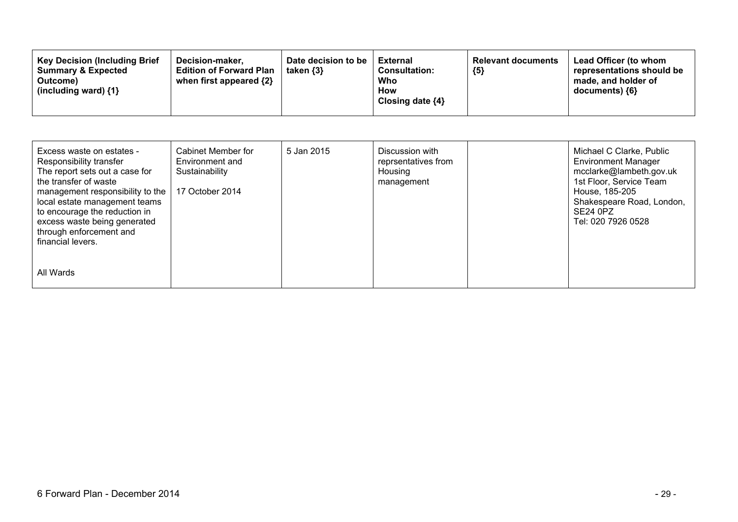| <b>Key Decision (Including Brief)</b><br>Decision-maker.<br><b>Summary &amp; Expected</b><br><b>Edition of Forward Plan</b><br>when first appeared $\{2\}$<br>Outcome)<br>(including ward) $\{1\}$ | Date decision to be<br><b>External</b><br><b>Consultation:</b><br>Who<br>How<br>Closing date $\{4\}$ | taken {3} | <b>Relevant documents</b><br>${5}$ | Lead Officer (to whom<br>representations should be<br>made, and holder of<br>$documents)$ {6} |
|----------------------------------------------------------------------------------------------------------------------------------------------------------------------------------------------------|------------------------------------------------------------------------------------------------------|-----------|------------------------------------|-----------------------------------------------------------------------------------------------|
|----------------------------------------------------------------------------------------------------------------------------------------------------------------------------------------------------|------------------------------------------------------------------------------------------------------|-----------|------------------------------------|-----------------------------------------------------------------------------------------------|

| Excess waste on estates -<br>Responsibility transfer<br>The report sets out a case for<br>the transfer of waste<br>management responsibility to the<br>local estate management teams<br>to encourage the reduction in<br>excess waste being generated<br>through enforcement and<br>financial levers. | Cabinet Member for<br>Environment and<br>Sustainability<br>17 October 2014 | 5 Jan 2015 | Discussion with<br>reprsentatives from<br>Housing<br>management | Michael C Clarke, Public<br><b>Environment Manager</b><br>mcclarke@lambeth.gov.uk<br>1st Floor, Service Team<br>House, 185-205<br>Shakespeare Road, London,<br><b>SE24 0PZ</b><br>Tel: 020 7926 0528 |
|-------------------------------------------------------------------------------------------------------------------------------------------------------------------------------------------------------------------------------------------------------------------------------------------------------|----------------------------------------------------------------------------|------------|-----------------------------------------------------------------|------------------------------------------------------------------------------------------------------------------------------------------------------------------------------------------------------|
| All Wards                                                                                                                                                                                                                                                                                             |                                                                            |            |                                                                 |                                                                                                                                                                                                      |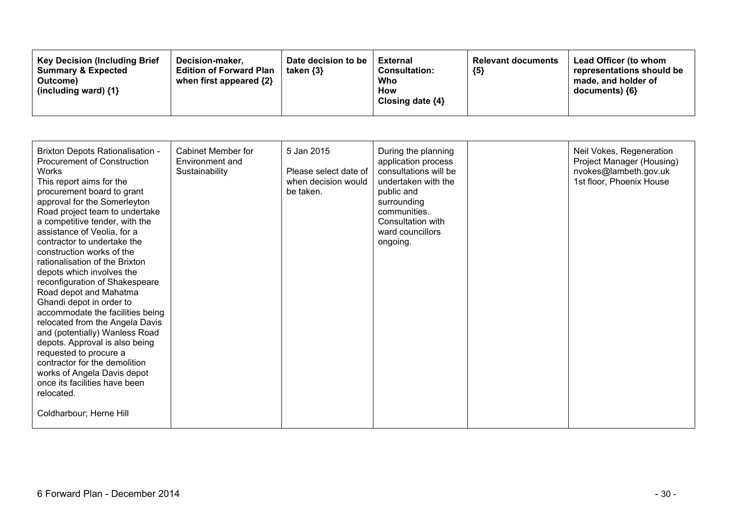| <b>Key Decision (Including Brief)</b><br>Decision-maker.<br><b>Summary &amp; Expected</b><br><b>Edition of Forward Plan</b><br>when first appeared {2}<br>Outcome)<br>(including ward) $\{1\}$ | Date decision to be<br>taken $\{3\}$ | External<br><b>Consultation:</b><br>Who<br>How<br>Closing date ${4}$ | <b>Relevant documents</b><br>${5}$ | Lead Officer (to whom<br>representations should be<br>made, and holder of<br>documents) ${6}$ |
|------------------------------------------------------------------------------------------------------------------------------------------------------------------------------------------------|--------------------------------------|----------------------------------------------------------------------|------------------------------------|-----------------------------------------------------------------------------------------------|
|------------------------------------------------------------------------------------------------------------------------------------------------------------------------------------------------|--------------------------------------|----------------------------------------------------------------------|------------------------------------|-----------------------------------------------------------------------------------------------|

| <b>Brixton Depots Rationalisation -</b><br><b>Procurement of Construction</b><br><b>Works</b><br>This report aims for the<br>procurement board to grant<br>approval for the Somerleyton<br>Road project team to undertake<br>a competitive tender, with the<br>assistance of Veolia, for a<br>contractor to undertake the<br>construction works of the<br>rationalisation of the Brixton<br>depots which involves the<br>reconfiguration of Shakespeare<br>Road depot and Mahatma<br>Ghandi depot in order to<br>accommodate the facilities being<br>relocated from the Angela Davis<br>and (potentially) Wanless Road<br>depots. Approval is also being<br>requested to procure a<br>contractor for the demolition<br>works of Angela Davis depot<br>once its facilities have been<br>relocated.<br>Coldharbour; Herne Hill | Cabinet Member for<br>Environment and<br>Sustainability | 5 Jan 2015<br>Please select date of<br>when decision would<br>be taken. | During the planning<br>application process<br>consultations will be<br>undertaken with the<br>public and<br>surrounding<br>communities.<br>Consultation with<br>ward councillors<br>ongoing. | Neil Vokes, Regeneration<br>Project Manager (Housing)<br>nvokes@lambeth.gov.uk<br>1st floor, Phoenix House |
|------------------------------------------------------------------------------------------------------------------------------------------------------------------------------------------------------------------------------------------------------------------------------------------------------------------------------------------------------------------------------------------------------------------------------------------------------------------------------------------------------------------------------------------------------------------------------------------------------------------------------------------------------------------------------------------------------------------------------------------------------------------------------------------------------------------------------|---------------------------------------------------------|-------------------------------------------------------------------------|----------------------------------------------------------------------------------------------------------------------------------------------------------------------------------------------|------------------------------------------------------------------------------------------------------------|
|                                                                                                                                                                                                                                                                                                                                                                                                                                                                                                                                                                                                                                                                                                                                                                                                                              |                                                         |                                                                         |                                                                                                                                                                                              |                                                                                                            |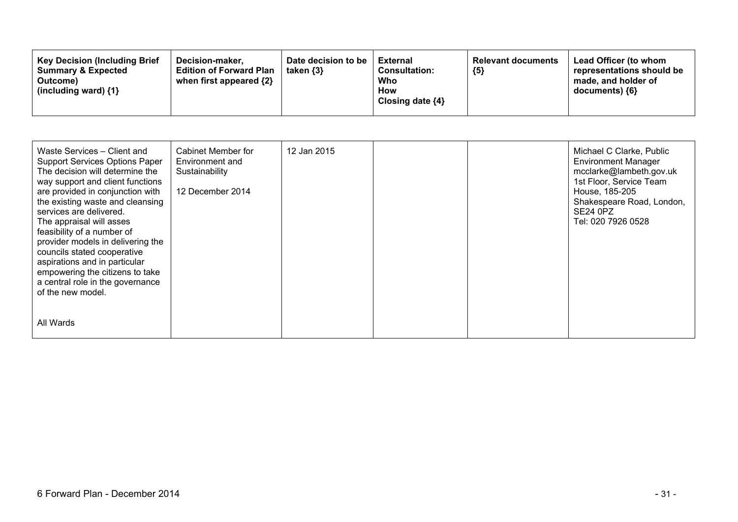| Date decision to be<br><b>Key Decision (Including Brief)</b><br>Decision-maker.<br><b>Summary &amp; Expected</b><br><b>Edition of Forward Plan</b><br>taken $\{3\}$<br>when first appeared {2}<br>Outcome)<br>(including ward) $\{1\}$ | <b>External</b><br><b>Consultation:</b><br>Who<br><b>How</b><br>Closing date $\{4\}$ | <b>Relevant documents</b><br>${5}$ | Lead Officer (to whom<br>representations should be<br>made, and holder of<br>documents) {6} |
|----------------------------------------------------------------------------------------------------------------------------------------------------------------------------------------------------------------------------------------|--------------------------------------------------------------------------------------|------------------------------------|---------------------------------------------------------------------------------------------|
|----------------------------------------------------------------------------------------------------------------------------------------------------------------------------------------------------------------------------------------|--------------------------------------------------------------------------------------|------------------------------------|---------------------------------------------------------------------------------------------|

| Waste Services - Client and<br><b>Support Services Options Paper</b><br>The decision will determine the<br>way support and client functions<br>are provided in conjunction with<br>the existing waste and cleansing<br>services are delivered.<br>The appraisal will asses<br>feasibility of a number of<br>provider models in delivering the<br>councils stated cooperative<br>aspirations and in particular<br>empowering the citizens to take<br>a central role in the governance<br>of the new model. | Cabinet Member for<br>Environment and<br>Sustainability<br>12 December 2014 | 12 Jan 2015 |  | Michael C Clarke, Public<br><b>Environment Manager</b><br>mcclarke@lambeth.gov.uk<br>1st Floor, Service Team<br>House, 185-205<br>Shakespeare Road, London,<br>SE24 0PZ<br>Tel: 020 7926 0528 |
|-----------------------------------------------------------------------------------------------------------------------------------------------------------------------------------------------------------------------------------------------------------------------------------------------------------------------------------------------------------------------------------------------------------------------------------------------------------------------------------------------------------|-----------------------------------------------------------------------------|-------------|--|-----------------------------------------------------------------------------------------------------------------------------------------------------------------------------------------------|
| All Wards                                                                                                                                                                                                                                                                                                                                                                                                                                                                                                 |                                                                             |             |  |                                                                                                                                                                                               |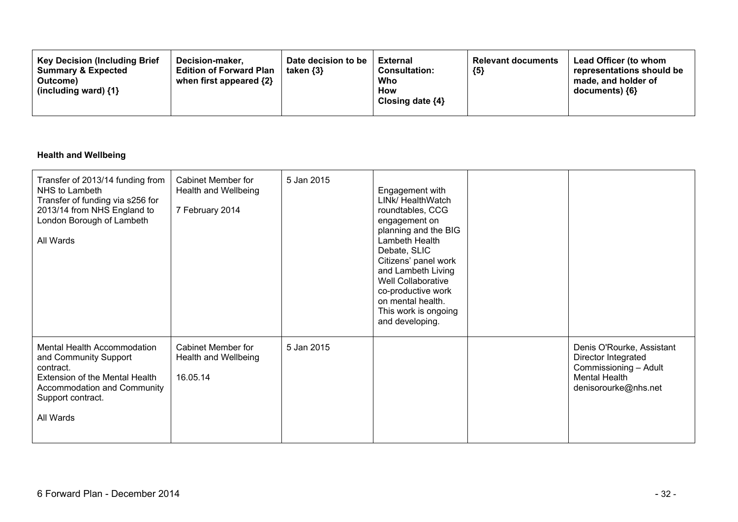| <b>Key Decision (Including Brief</b><br>Decision-maker.<br><b>Summary &amp; Expected</b><br><b>Edition of Forward Plan</b><br>when first appeared $\{2\}$<br>Outcome)<br>(including ward) $\{1\}$ | Date decision to be<br>taken $\{3\}$ | External<br><b>Consultation:</b><br>Who<br>How<br>Closing date $\{4\}$ | <b>Relevant documents</b><br>${5}$ | Lead Officer (to whom<br>representations should be<br>made, and holder of<br>$documents)$ {6} |
|---------------------------------------------------------------------------------------------------------------------------------------------------------------------------------------------------|--------------------------------------|------------------------------------------------------------------------|------------------------------------|-----------------------------------------------------------------------------------------------|
|---------------------------------------------------------------------------------------------------------------------------------------------------------------------------------------------------|--------------------------------------|------------------------------------------------------------------------|------------------------------------|-----------------------------------------------------------------------------------------------|

#### **Health and Wellbeing**

| Transfer of 2013/14 funding from<br>NHS to Lambeth<br>Transfer of funding via s256 for<br>2013/14 from NHS England to<br>London Borough of Lambeth<br>All Wards      | <b>Cabinet Member for</b><br>Health and Wellbeing<br>7 February 2014 | 5 Jan 2015 | Engagement with<br>LINk/ HealthWatch<br>roundtables, CCG<br>engagement on<br>planning and the BIG<br>Lambeth Health<br>Debate, SLIC<br>Citizens' panel work<br>and Lambeth Living<br>Well Collaborative<br>co-productive work<br>on mental health.<br>This work is ongoing<br>and developing. |                                                                                                                           |
|----------------------------------------------------------------------------------------------------------------------------------------------------------------------|----------------------------------------------------------------------|------------|-----------------------------------------------------------------------------------------------------------------------------------------------------------------------------------------------------------------------------------------------------------------------------------------------|---------------------------------------------------------------------------------------------------------------------------|
| Mental Health Accommodation<br>and Community Support<br>contract.<br>Extension of the Mental Health<br>Accommodation and Community<br>Support contract.<br>All Wards | <b>Cabinet Member for</b><br>Health and Wellbeing<br>16.05.14        | 5 Jan 2015 |                                                                                                                                                                                                                                                                                               | Denis O'Rourke, Assistant<br>Director Integrated<br>Commissioning - Adult<br><b>Mental Health</b><br>denisorourke@nhs.net |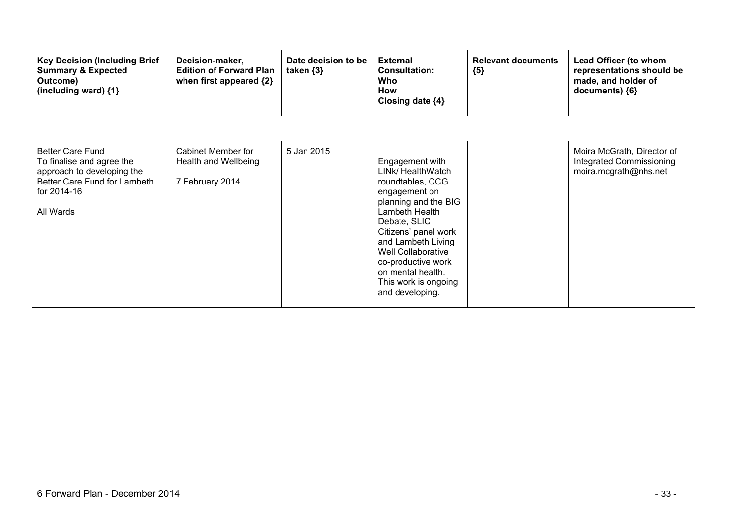| <b>Key Decision (Including Brief)</b><br>Decision-maker.<br><b>Summary &amp; Expected</b><br><b>Edition of Forward Plan</b><br>when first appeared $\{2\}$<br>Outcome)<br>(including ward) $\{1\}$ | Date decision to be<br><b>External</b><br><b>Consultation:</b><br>Who<br>How<br>Closing date $\{4\}$ | taken {3} | <b>Relevant documents</b><br>${5}$ | Lead Officer (to whom<br>representations should be<br>made, and holder of<br>$documents)$ {6} |
|----------------------------------------------------------------------------------------------------------------------------------------------------------------------------------------------------|------------------------------------------------------------------------------------------------------|-----------|------------------------------------|-----------------------------------------------------------------------------------------------|
|----------------------------------------------------------------------------------------------------------------------------------------------------------------------------------------------------|------------------------------------------------------------------------------------------------------|-----------|------------------------------------|-----------------------------------------------------------------------------------------------|

| <b>Better Care Fund</b><br>To finalise and agree the<br>approach to developing the<br>Better Care Fund for Lambeth<br>for 2014-16<br>All Wards | Cabinet Member for<br>Health and Wellbeing<br>7 February 2014 | 5 Jan 2015 | Engagement with<br>LINK/ HealthWatch<br>roundtables, CCG<br>engagement on<br>planning and the BIG<br>Lambeth Health<br>Debate, SLIC<br>Citizens' panel work<br>and Lambeth Living<br>Well Collaborative<br>co-productive work<br>on mental health.<br>This work is ongoing<br>and developing. |  | Moira McGrath, Director of<br>Integrated Commissioning<br>moira.mcgrath@nhs.net |
|------------------------------------------------------------------------------------------------------------------------------------------------|---------------------------------------------------------------|------------|-----------------------------------------------------------------------------------------------------------------------------------------------------------------------------------------------------------------------------------------------------------------------------------------------|--|---------------------------------------------------------------------------------|
|------------------------------------------------------------------------------------------------------------------------------------------------|---------------------------------------------------------------|------------|-----------------------------------------------------------------------------------------------------------------------------------------------------------------------------------------------------------------------------------------------------------------------------------------------|--|---------------------------------------------------------------------------------|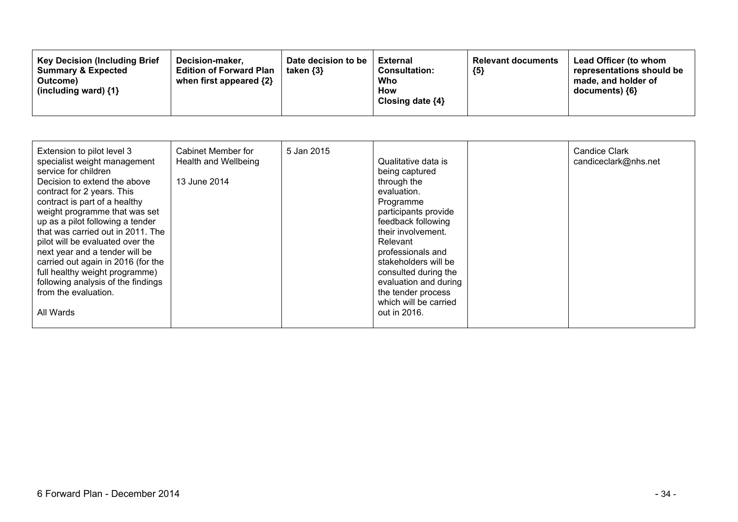| <b>Key Decision (Including Brief</b><br>Decision-maker,<br><b>Summary &amp; Expected</b><br><b>Edition of Forward Plan</b><br>when first appeared {2}<br>Outcome)<br>(including ward) $\{1\}$ | Date decision to be<br>taken $\{3\}$ | External<br><b>Consultation:</b><br>Who<br>How<br>Closing date $\{4\}$ | <b>Relevant documents</b><br>${5}$ | Lead Officer (to whom<br>representations should be<br>made, and holder of<br>documents) {6} |
|-----------------------------------------------------------------------------------------------------------------------------------------------------------------------------------------------|--------------------------------------|------------------------------------------------------------------------|------------------------------------|---------------------------------------------------------------------------------------------|
|-----------------------------------------------------------------------------------------------------------------------------------------------------------------------------------------------|--------------------------------------|------------------------------------------------------------------------|------------------------------------|---------------------------------------------------------------------------------------------|

| Extension to pilot level 3<br>specialist weight management<br>service for children<br>Decision to extend the above<br>contract for 2 years. This<br>contract is part of a healthy<br>weight programme that was set<br>up as a pilot following a tender<br>that was carried out in 2011. The<br>pilot will be evaluated over the<br>next year and a tender will be<br>carried out again in 2016 (for the<br>full healthy weight programme)<br>following analysis of the findings<br>from the evaluation.<br>All Wards | Cabinet Member for<br>Health and Wellbeing<br>13 June 2014 | 5 Jan 2015 | Qualitative data is<br>being captured<br>through the<br>evaluation.<br>Programme<br>participants provide<br>feedback following<br>their involvement.<br>Relevant<br>professionals and<br>stakeholders will be<br>consulted during the<br>evaluation and during<br>the tender process<br>which will be carried<br>out in 2016. |  | <b>Candice Clark</b><br>candiceclark@nhs.net |
|----------------------------------------------------------------------------------------------------------------------------------------------------------------------------------------------------------------------------------------------------------------------------------------------------------------------------------------------------------------------------------------------------------------------------------------------------------------------------------------------------------------------|------------------------------------------------------------|------------|-------------------------------------------------------------------------------------------------------------------------------------------------------------------------------------------------------------------------------------------------------------------------------------------------------------------------------|--|----------------------------------------------|
|----------------------------------------------------------------------------------------------------------------------------------------------------------------------------------------------------------------------------------------------------------------------------------------------------------------------------------------------------------------------------------------------------------------------------------------------------------------------------------------------------------------------|------------------------------------------------------------|------------|-------------------------------------------------------------------------------------------------------------------------------------------------------------------------------------------------------------------------------------------------------------------------------------------------------------------------------|--|----------------------------------------------|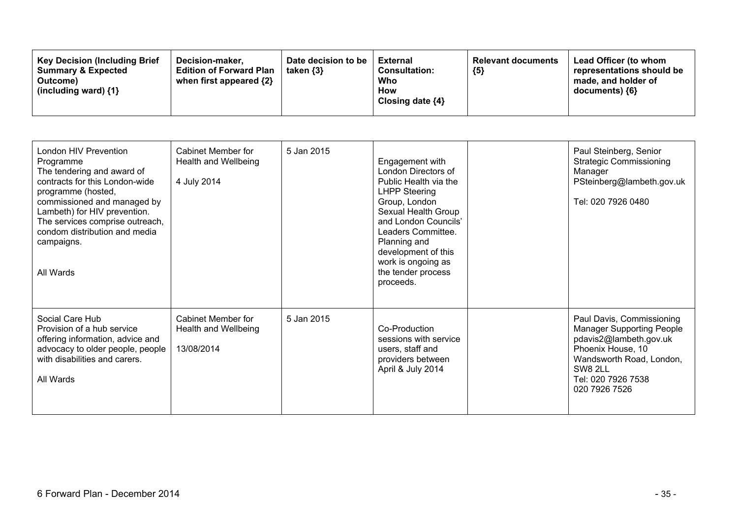| London HIV Prevention<br>Programme<br>The tendering and award of<br>contracts for this London-wide<br>programme (hosted,<br>commissioned and managed by<br>Lambeth) for HIV prevention.<br>The services comprise outreach,<br>condom distribution and media<br>campaigns.<br>All Wards | <b>Cabinet Member for</b><br>Health and Wellbeing<br>4 July 2014 | 5 Jan 2015 | Engagement with<br>London Directors of<br>Public Health via the<br><b>LHPP Steering</b><br>Group, London<br>Sexual Health Group<br>and London Councils'<br>Leaders Committee.<br>Planning and<br>development of this<br>work is ongoing as<br>the tender process<br>proceeds. | Paul Steinberg, Senior<br><b>Strategic Commissioning</b><br>Manager<br>PSteinberg@lambeth.gov.uk<br>Tel: 020 7926 0480                                                                     |
|----------------------------------------------------------------------------------------------------------------------------------------------------------------------------------------------------------------------------------------------------------------------------------------|------------------------------------------------------------------|------------|-------------------------------------------------------------------------------------------------------------------------------------------------------------------------------------------------------------------------------------------------------------------------------|--------------------------------------------------------------------------------------------------------------------------------------------------------------------------------------------|
| Social Care Hub<br>Provision of a hub service<br>offering information, advice and<br>advocacy to older people, people<br>with disabilities and carers.<br>All Wards                                                                                                                    | <b>Cabinet Member for</b><br>Health and Wellbeing<br>13/08/2014  | 5 Jan 2015 | Co-Production<br>sessions with service<br>users, staff and<br>providers between<br>April & July 2014                                                                                                                                                                          | Paul Davis, Commissioning<br><b>Manager Supporting People</b><br>pdavis2@lambeth.gov.uk<br>Phoenix House, 10<br>Wandsworth Road, London,<br>SW8 2LL<br>Tel: 020 7926 7538<br>020 7926 7526 |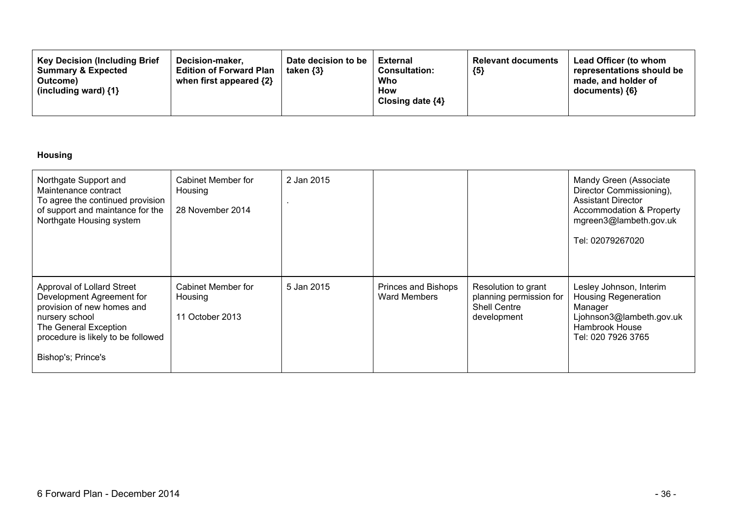| <b>Key Decision (Including Brief)</b><br><b>Summary &amp; Expected</b><br>Outcome)<br>(including ward) {1} | Decision-maker.<br><b>Edition of Forward Plan</b><br>when first appeared {2} | Date decision to be<br>taken $\{3\}$ | <b>External</b><br><b>Consultation:</b><br>Who<br><b>How</b><br>Closing date $\{4\}$ | <b>Relevant documents</b><br>${5}$ | Lead Officer (to whom<br>representations should be<br>made, and holder of<br>$documents)$ {6} |
|------------------------------------------------------------------------------------------------------------|------------------------------------------------------------------------------|--------------------------------------|--------------------------------------------------------------------------------------|------------------------------------|-----------------------------------------------------------------------------------------------|
|------------------------------------------------------------------------------------------------------------|------------------------------------------------------------------------------|--------------------------------------|--------------------------------------------------------------------------------------|------------------------------------|-----------------------------------------------------------------------------------------------|

#### **Housing**

| Northgate Support and<br>Maintenance contract<br>To agree the continued provision<br>of support and maintance for the<br>Northgate Housing system                                            | Cabinet Member for<br>Housing<br>28 November 2014 | 2 Jan 2015 |                                     |                                                                                      | Mandy Green (Associate<br>Director Commissioning),<br><b>Assistant Director</b><br><b>Accommodation &amp; Property</b><br>mgreen3@lambeth.gov.uk<br>Tel: 02079267020 |
|----------------------------------------------------------------------------------------------------------------------------------------------------------------------------------------------|---------------------------------------------------|------------|-------------------------------------|--------------------------------------------------------------------------------------|----------------------------------------------------------------------------------------------------------------------------------------------------------------------|
| Approval of Lollard Street<br>Development Agreement for<br>provision of new homes and<br>nursery school<br>The General Exception<br>procedure is likely to be followed<br>Bishop's; Prince's | Cabinet Member for<br>Housing<br>11 October 2013  | 5 Jan 2015 | Princes and Bishops<br>Ward Members | Resolution to grant<br>planning permission for<br><b>Shell Centre</b><br>development | Lesley Johnson, Interim<br><b>Housing Regeneration</b><br>Manager<br>Ljohnson3@lambeth.gov.uk<br><b>Hambrook House</b><br>Tel: 020 7926 3765                         |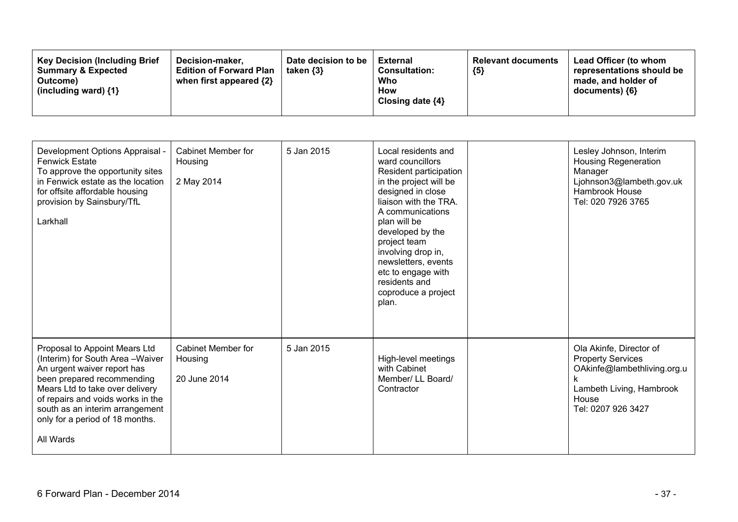| <b>Key Decision (Including Brief)</b><br>Decision-maker,<br><b>Summary &amp; Expected</b><br><b>Edition of Forward Plan</b><br>when first appeared $\{2\}$<br>Outcome)<br>(including ward) $\{1\}$ | External<br><b>Consultation:</b><br>Who<br>How<br>Closing date ${4}$ | Date decision to be<br>taken $\{3\}$ | <b>Relevant documents</b><br>${5}$ | Lead Officer (to whom<br>representations should be<br>made, and holder of<br>$documents)$ {6} |
|----------------------------------------------------------------------------------------------------------------------------------------------------------------------------------------------------|----------------------------------------------------------------------|--------------------------------------|------------------------------------|-----------------------------------------------------------------------------------------------|
|----------------------------------------------------------------------------------------------------------------------------------------------------------------------------------------------------|----------------------------------------------------------------------|--------------------------------------|------------------------------------|-----------------------------------------------------------------------------------------------|

| Development Options Appraisal -<br><b>Fenwick Estate</b><br>To approve the opportunity sites<br>in Fenwick estate as the location<br>for offsite affordable housing<br>provision by Sainsbury/TfL<br>Larkhall                                                                              | <b>Cabinet Member for</b><br>Housing<br>2 May 2014   | 5 Jan 2015 | Local residents and<br>ward councillors<br>Resident participation<br>in the project will be<br>designed in close<br>liaison with the TRA.<br>A communications<br>plan will be<br>developed by the<br>project team<br>involving drop in,<br>newsletters, events<br>etc to engage with<br>residents and<br>coproduce a project<br>plan. | Lesley Johnson, Interim<br><b>Housing Regeneration</b><br>Manager<br>Ljohnson3@lambeth.gov.uk<br>Hambrook House<br>Tel: 020 7926 3765         |
|--------------------------------------------------------------------------------------------------------------------------------------------------------------------------------------------------------------------------------------------------------------------------------------------|------------------------------------------------------|------------|---------------------------------------------------------------------------------------------------------------------------------------------------------------------------------------------------------------------------------------------------------------------------------------------------------------------------------------|-----------------------------------------------------------------------------------------------------------------------------------------------|
| Proposal to Appoint Mears Ltd<br>(Interim) for South Area - Waiver<br>An urgent waiver report has<br>been prepared recommending<br>Mears Ltd to take over delivery<br>of repairs and voids works in the<br>south as an interim arrangement<br>only for a period of 18 months.<br>All Wards | <b>Cabinet Member for</b><br>Housing<br>20 June 2014 | 5 Jan 2015 | High-level meetings<br>with Cabinet<br>Member/ LL Board/<br>Contractor                                                                                                                                                                                                                                                                | Ola Akinfe, Director of<br><b>Property Services</b><br>OAkinfe@lambethliving.org.u<br>Lambeth Living, Hambrook<br>House<br>Tel: 0207 926 3427 |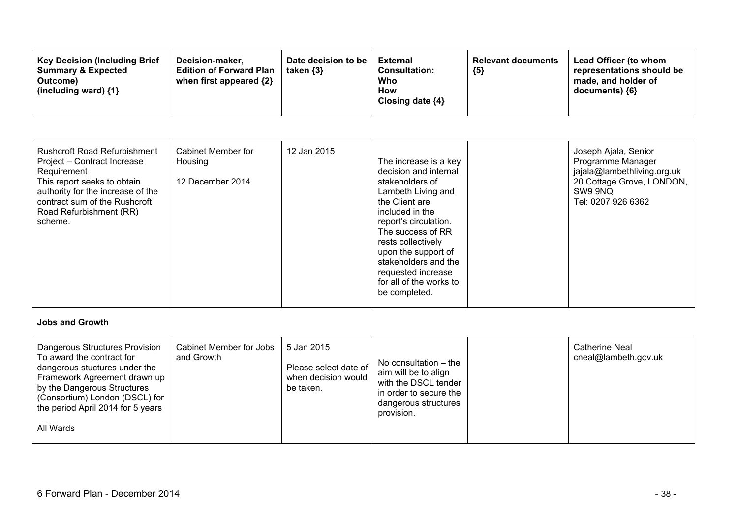| <b>Key Decision (Including Brief</b><br>Decision-maker.<br><b>Edition of Forward Plan</b><br><b>Summary &amp; Expected</b><br>when first appeared $\{2\}$<br>Outcome)<br>(including ward) $\{1\}$ | Date decision to be<br>taken $\{3\}$ | <b>External</b><br><b>Consultation:</b><br>Who<br>How<br>Closing date $\{4\}$ | <b>Relevant documents</b><br>${5}$ | Lead Officer (to whom<br>representations should be<br>made, and holder of<br>$documents)$ {6} |
|---------------------------------------------------------------------------------------------------------------------------------------------------------------------------------------------------|--------------------------------------|-------------------------------------------------------------------------------|------------------------------------|-----------------------------------------------------------------------------------------------|
|---------------------------------------------------------------------------------------------------------------------------------------------------------------------------------------------------|--------------------------------------|-------------------------------------------------------------------------------|------------------------------------|-----------------------------------------------------------------------------------------------|

| <b>Rushcroft Road Refurbishment</b><br>Project - Contract Increase<br>Requirement<br>This report seeks to obtain<br>authority for the increase of the<br>contract sum of the Rushcroft<br>Road Refurbishment (RR)<br>scheme. | Cabinet Member for<br>Housing<br>12 December 2014 | 12 Jan 2015 | The increase is a key<br>decision and internal<br>stakeholders of<br>Lambeth Living and<br>the Client are<br>included in the<br>report's circulation.<br>The success of RR<br>rests collectively<br>upon the support of<br>stakeholders and the<br>requested increase<br>for all of the works to<br>be completed. |  | Joseph Ajala, Senior<br>Programme Manager<br>jajala@lambethliving.org.uk<br>20 Cottage Grove, LONDON,<br>SW9 9NQ<br>Tel: 0207 926 6362 |
|------------------------------------------------------------------------------------------------------------------------------------------------------------------------------------------------------------------------------|---------------------------------------------------|-------------|-------------------------------------------------------------------------------------------------------------------------------------------------------------------------------------------------------------------------------------------------------------------------------------------------------------------|--|----------------------------------------------------------------------------------------------------------------------------------------|
|------------------------------------------------------------------------------------------------------------------------------------------------------------------------------------------------------------------------------|---------------------------------------------------|-------------|-------------------------------------------------------------------------------------------------------------------------------------------------------------------------------------------------------------------------------------------------------------------------------------------------------------------|--|----------------------------------------------------------------------------------------------------------------------------------------|

### **Jobs and Growth**

| Dangerous Structures Provision<br>Cabinet Member for Jobs<br>To award the contract for<br>and Growth<br>dangerous stuctures under the<br>Framework Agreement drawn up<br>by the Dangerous Structures<br>(Consortium) London (DSCL) for<br>the period April 2014 for 5 years<br>All Wards | 5 Jan 2015<br>Please select date of<br>when decision would<br>be taken. | No consultation – the<br>aim will be to align<br>with the DSCL tender<br>in order to secure the<br>dangerous structures<br>provision. |  | <b>Catherine Neal</b><br>cneal@lambeth.gov.uk |
|------------------------------------------------------------------------------------------------------------------------------------------------------------------------------------------------------------------------------------------------------------------------------------------|-------------------------------------------------------------------------|---------------------------------------------------------------------------------------------------------------------------------------|--|-----------------------------------------------|
|------------------------------------------------------------------------------------------------------------------------------------------------------------------------------------------------------------------------------------------------------------------------------------------|-------------------------------------------------------------------------|---------------------------------------------------------------------------------------------------------------------------------------|--|-----------------------------------------------|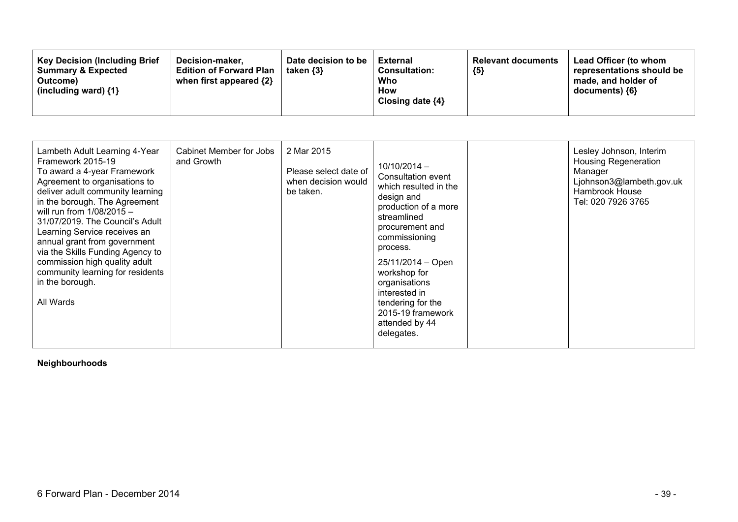| <b>Key Decision (Including Brief</b><br>Decision-maker.<br><b>Summary &amp; Expected</b><br><b>Edition of Forward Plan</b><br>when first appeared {2}<br>Outcome)<br>(including ward) $\{1\}$ | Date decision to be<br>taken $\{3\}$ | External<br><b>Consultation:</b><br>Who<br>How<br>Closing date $\{4\}$ | <b>Relevant documents</b><br>${5}$ | Lead Officer (to whom<br>representations should be<br>made, and holder of<br>$documents)$ {6} |
|-----------------------------------------------------------------------------------------------------------------------------------------------------------------------------------------------|--------------------------------------|------------------------------------------------------------------------|------------------------------------|-----------------------------------------------------------------------------------------------|
|-----------------------------------------------------------------------------------------------------------------------------------------------------------------------------------------------|--------------------------------------|------------------------------------------------------------------------|------------------------------------|-----------------------------------------------------------------------------------------------|

| Lambeth Adult Learning 4-Year<br>Framework 2015-19<br>To award a 4-year Framework<br>Agreement to organisations to<br>deliver adult community learning<br>in the borough. The Agreement<br>will run from $1/08/2015 -$<br>31/07/2019. The Council's Adult<br>Learning Service receives an<br>annual grant from government<br>via the Skills Funding Agency to<br>commission high quality adult<br>community learning for residents<br>in the borough.<br>All Wards | Cabinet Member for Jobs<br>and Growth | 2 Mar 2015<br>Please select date of<br>when decision would<br>be taken. | $10/10/2014 -$<br>Consultation event<br>which resulted in the<br>design and<br>production of a more<br>streamlined<br>procurement and<br>commissioning<br>process.<br>$25/11/2014 - Open$<br>workshop for<br>organisations<br>interested in<br>tendering for the<br>2015-19 framework<br>attended by 44<br>delegates. |  | Lesley Johnson, Interim<br><b>Housing Regeneration</b><br>Manager<br>Ljohnson3@lambeth.gov.uk<br>Hambrook House<br>Tel: 020 7926 3765 |
|--------------------------------------------------------------------------------------------------------------------------------------------------------------------------------------------------------------------------------------------------------------------------------------------------------------------------------------------------------------------------------------------------------------------------------------------------------------------|---------------------------------------|-------------------------------------------------------------------------|-----------------------------------------------------------------------------------------------------------------------------------------------------------------------------------------------------------------------------------------------------------------------------------------------------------------------|--|---------------------------------------------------------------------------------------------------------------------------------------|
|--------------------------------------------------------------------------------------------------------------------------------------------------------------------------------------------------------------------------------------------------------------------------------------------------------------------------------------------------------------------------------------------------------------------------------------------------------------------|---------------------------------------|-------------------------------------------------------------------------|-----------------------------------------------------------------------------------------------------------------------------------------------------------------------------------------------------------------------------------------------------------------------------------------------------------------------|--|---------------------------------------------------------------------------------------------------------------------------------------|

**Neighbourhoods**